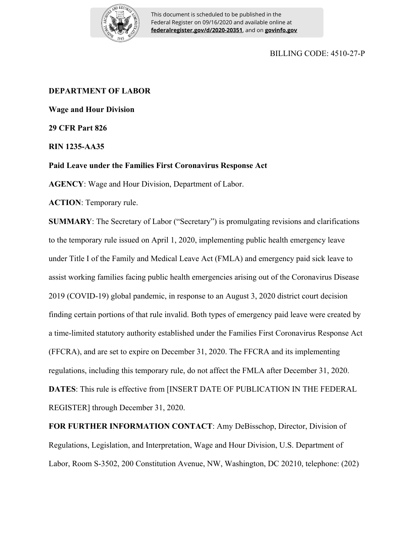

This document is scheduled to be published in the Federal Register on 09/16/2020 and available online at **federalregister.gov/d/2020-20351**, and on **govinfo.gov**

# BILLING CODE: 4510-27-P

# **DEPARTMENT OF LABOR**

**Wage and Hour Division**

**29 CFR Part 826**

**RIN 1235-AA35**

**Paid Leave under the Families First Coronavirus Response Act** 

**AGENCY**: Wage and Hour Division, Department of Labor.

**ACTION**: Temporary rule.

**SUMMARY**: The Secretary of Labor ("Secretary") is promulgating revisions and clarifications to the temporary rule issued on April 1, 2020, implementing public health emergency leave under Title I of the Family and Medical Leave Act (FMLA) and emergency paid sick leave to assist working families facing public health emergencies arising out of the Coronavirus Disease 2019 (COVID-19) global pandemic, in response to an August 3, 2020 district court decision finding certain portions of that rule invalid. Both types of emergency paid leave were created by a time-limited statutory authority established under the Families First Coronavirus Response Act (FFCRA), and are set to expire on December 31, 2020. The FFCRA and its implementing regulations, including this temporary rule, do not affect the FMLA after December 31, 2020. **DATES**: This rule is effective from [INSERT DATE OF PUBLICATION IN THE FEDERAL REGISTER] through December 31, 2020.

**FOR FURTHER INFORMATION CONTACT**: Amy DeBisschop, Director, Division of Regulations, Legislation, and Interpretation, Wage and Hour Division, U.S. Department of Labor, Room S-3502, 200 Constitution Avenue, NW, Washington, DC 20210, telephone: (202)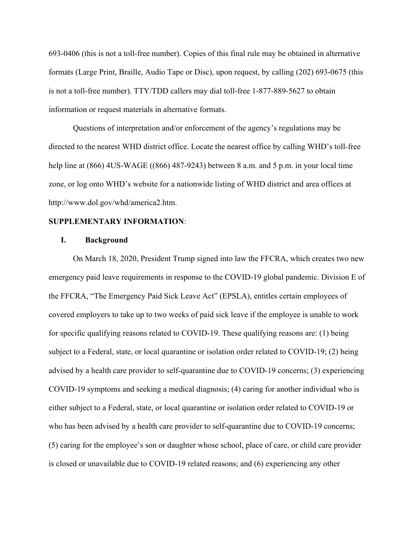693-0406 (this is not a toll-free number). Copies of this final rule may be obtained in alternative formats (Large Print, Braille, Audio Tape or Disc), upon request, by calling (202) 693-0675 (this is not a toll-free number). TTY/TDD callers may dial toll-free 1-877-889-5627 to obtain information or request materials in alternative formats.

Questions of interpretation and/or enforcement of the agency's regulations may be directed to the nearest WHD district office. Locate the nearest office by calling WHD's toll-free help line at (866) 4US-WAGE ((866) 487-9243) between 8 a.m. and 5 p.m. in your local time zone, or log onto WHD's website for a nationwide listing of WHD district and area offices at http://www.dol.gov/whd/america2.htm.

### **SUPPLEMENTARY INFORMATION**:

#### **I. Background**

On March 18, 2020, President Trump signed into law the FFCRA, which creates two new emergency paid leave requirements in response to the COVID-19 global pandemic. Division E of the FFCRA, "The Emergency Paid Sick Leave Act" (EPSLA), entitles certain employees of covered employers to take up to two weeks of paid sick leave if the employee is unable to work for specific qualifying reasons related to COVID-19. These qualifying reasons are: (1) being subject to a Federal, state, or local quarantine or isolation order related to COVID-19; (2) being advised by a health care provider to self-quarantine due to COVID-19 concerns; (3) experiencing COVID-19 symptoms and seeking a medical diagnosis; (4) caring for another individual who is either subject to a Federal, state, or local quarantine or isolation order related to COVID-19 or who has been advised by a health care provider to self-quarantine due to COVID-19 concerns; (5) caring for the employee's son or daughter whose school, place of care, or child care provider is closed or unavailable due to COVID-19 related reasons; and (6) experiencing any other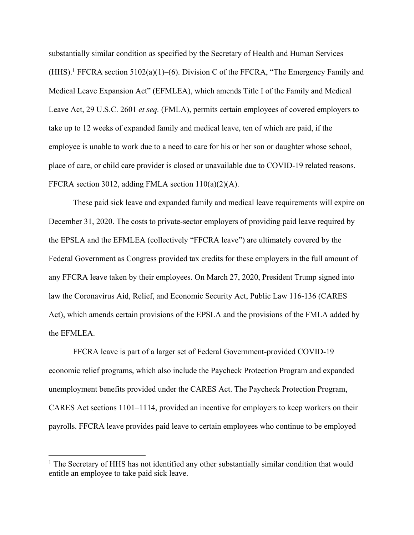substantially similar condition as specified by the Secretary of Health and Human Services  $(HHS).$ <sup>1</sup> FFCRA section 5102(a)(1)–(6). Division C of the FFCRA, "The Emergency Family and Medical Leave Expansion Act" (EFMLEA), which amends Title I of the Family and Medical Leave Act, 29 U.S.C. 2601 *et seq.* (FMLA), permits certain employees of covered employers to take up to 12 weeks of expanded family and medical leave, ten of which are paid, if the employee is unable to work due to a need to care for his or her son or daughter whose school, place of care, or child care provider is closed or unavailable due to COVID-19 related reasons. FFCRA section 3012, adding FMLA section 110(a)(2)(A).

These paid sick leave and expanded family and medical leave requirements will expire on December 31, 2020. The costs to private-sector employers of providing paid leave required by the EPSLA and the EFMLEA (collectively "FFCRA leave") are ultimately covered by the Federal Government as Congress provided tax credits for these employers in the full amount of any FFCRA leave taken by their employees. On March 27, 2020, President Trump signed into law the Coronavirus Aid, Relief, and Economic Security Act, Public Law 116-136 (CARES Act), which amends certain provisions of the EPSLA and the provisions of the FMLA added by the EFMLEA.

FFCRA leave is part of a larger set of Federal Government-provided COVID-19 economic relief programs, which also include the Paycheck Protection Program and expanded unemployment benefits provided under the CARES Act. The Paycheck Protection Program, CARES Act sections 1101–1114, provided an incentive for employers to keep workers on their payrolls. FFCRA leave provides paid leave to certain employees who continue to be employed

<sup>&</sup>lt;sup>1</sup> The Secretary of HHS has not identified any other substantially similar condition that would entitle an employee to take paid sick leave.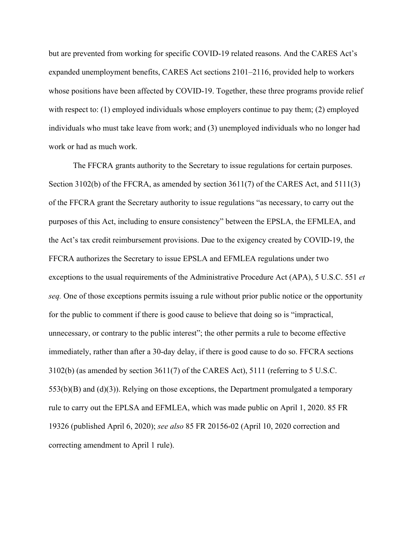but are prevented from working for specific COVID-19 related reasons. And the CARES Act's expanded unemployment benefits, CARES Act sections 2101–2116, provided help to workers whose positions have been affected by COVID-19. Together, these three programs provide relief with respect to: (1) employed individuals whose employers continue to pay them; (2) employed individuals who must take leave from work; and (3) unemployed individuals who no longer had work or had as much work.

The FFCRA grants authority to the Secretary to issue regulations for certain purposes. Section 3102(b) of the FFCRA, as amended by section 3611(7) of the CARES Act, and 5111(3) of the FFCRA grant the Secretary authority to issue regulations "as necessary, to carry out the purposes of this Act, including to ensure consistency" between the EPSLA, the EFMLEA, and the Act's tax credit reimbursement provisions. Due to the exigency created by COVID-19, the FFCRA authorizes the Secretary to issue EPSLA and EFMLEA regulations under two exceptions to the usual requirements of the Administrative Procedure Act (APA), 5 U.S.C. 551 *et seq.* One of those exceptions permits issuing a rule without prior public notice or the opportunity for the public to comment if there is good cause to believe that doing so is "impractical, unnecessary, or contrary to the public interest"; the other permits a rule to become effective immediately, rather than after a 30-day delay, if there is good cause to do so. FFCRA sections 3102(b) (as amended by section 3611(7) of the CARES Act), 5111 (referring to 5 U.S.C. 553(b)(B) and (d)(3)). Relying on those exceptions, the Department promulgated a temporary rule to carry out the EPLSA and EFMLEA, which was made public on April 1, 2020. 85 FR 19326 (published April 6, 2020); *see also* 85 FR 20156-02 (April 10, 2020 correction and correcting amendment to April 1 rule).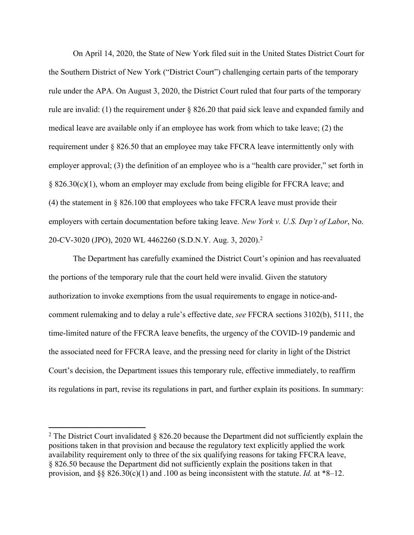On April 14, 2020, the State of New York filed suit in the United States District Court for the Southern District of New York ("District Court") challenging certain parts of the temporary rule under the APA. On August 3, 2020, the District Court ruled that four parts of the temporary rule are invalid: (1) the requirement under § 826.20 that paid sick leave and expanded family and medical leave are available only if an employee has work from which to take leave; (2) the requirement under § 826.50 that an employee may take FFCRA leave intermittently only with employer approval; (3) the definition of an employee who is a "health care provider," set forth in § 826.30(c)(1), whom an employer may exclude from being eligible for FFCRA leave; and (4) the statement in § 826.100 that employees who take FFCRA leave must provide their employers with certain documentation before taking leave. *New York v. U.S. Dep't of Labor*, No. 20-CV-3020 (JPO), 2020 WL 4462260 (S.D.N.Y. Aug. 3, 2020).<sup>2</sup>

The Department has carefully examined the District Court's opinion and has reevaluated the portions of the temporary rule that the court held were invalid. Given the statutory authorization to invoke exemptions from the usual requirements to engage in notice-andcomment rulemaking and to delay a rule's effective date, *see* FFCRA sections 3102(b), 5111, the time-limited nature of the FFCRA leave benefits, the urgency of the COVID-19 pandemic and the associated need for FFCRA leave, and the pressing need for clarity in light of the District Court's decision, the Department issues this temporary rule, effective immediately, to reaffirm its regulations in part, revise its regulations in part, and further explain its positions. In summary:

<sup>&</sup>lt;sup>2</sup> The District Court invalidated  $\S$  826.20 because the Department did not sufficiently explain the positions taken in that provision and because the regulatory text explicitly applied the work availability requirement only to three of the six qualifying reasons for taking FFCRA leave, § 826.50 because the Department did not sufficiently explain the positions taken in that provision, and §§ 826.30(c)(1) and .100 as being inconsistent with the statute. *Id.* at \*8–12.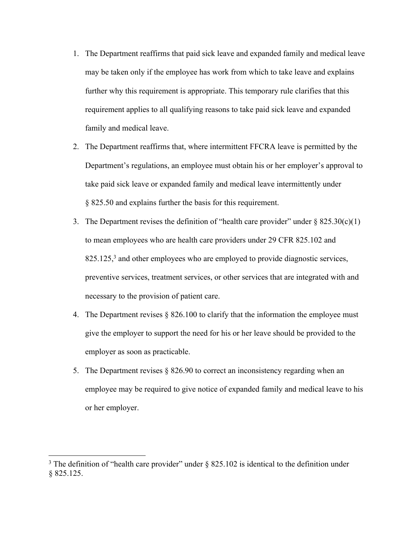- 1. The Department reaffirms that paid sick leave and expanded family and medical leave may be taken only if the employee has work from which to take leave and explains further why this requirement is appropriate. This temporary rule clarifies that this requirement applies to all qualifying reasons to take paid sick leave and expanded family and medical leave.
- 2. The Department reaffirms that, where intermittent FFCRA leave is permitted by the Department's regulations, an employee must obtain his or her employer's approval to take paid sick leave or expanded family and medical leave intermittently under § 825.50 and explains further the basis for this requirement.
- 3. The Department revises the definition of "health care provider" under  $\S$  825.30(c)(1) to mean employees who are health care providers under 29 CFR 825.102 and 825.125,<sup>3</sup> and other employees who are employed to provide diagnostic services, preventive services, treatment services, or other services that are integrated with and necessary to the provision of patient care.
- 4. The Department revises § 826.100 to clarify that the information the employee must give the employer to support the need for his or her leave should be provided to the employer as soon as practicable.
- 5. The Department revises § 826.90 to correct an inconsistency regarding when an employee may be required to give notice of expanded family and medical leave to his or her employer.

<sup>&</sup>lt;sup>3</sup> The definition of "health care provider" under  $\S$  825.102 is identical to the definition under § 825.125.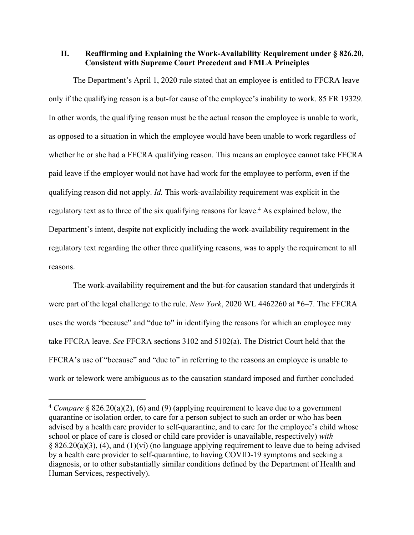**II. Reaffirming and Explaining the Work-Availability Requirement under § 826.20, Consistent with Supreme Court Precedent and FMLA Principles**

The Department's April 1, 2020 rule stated that an employee is entitled to FFCRA leave only if the qualifying reason is a but-for cause of the employee's inability to work. 85 FR 19329. In other words, the qualifying reason must be the actual reason the employee is unable to work, as opposed to a situation in which the employee would have been unable to work regardless of whether he or she had a FFCRA qualifying reason. This means an employee cannot take FFCRA paid leave if the employer would not have had work for the employee to perform, even if the qualifying reason did not apply. *Id.* This work-availability requirement was explicit in the regulatory text as to three of the six qualifying reasons for leave.<sup>4</sup> As explained below, the Department's intent, despite not explicitly including the work-availability requirement in the regulatory text regarding the other three qualifying reasons, was to apply the requirement to all reasons.

The work-availability requirement and the but-for causation standard that undergirds it were part of the legal challenge to the rule. *New York*, 2020 WL 4462260 at \*6–7. The FFCRA uses the words "because" and "due to" in identifying the reasons for which an employee may take FFCRA leave. *See* FFCRA sections 3102 and 5102(a). The District Court held that the FFCRA's use of "because" and "due to" in referring to the reasons an employee is unable to work or telework were ambiguous as to the causation standard imposed and further concluded

<sup>4</sup> *Compare* § 826.20(a)(2), (6) and (9) (applying requirement to leave due to a government quarantine or isolation order, to care for a person subject to such an order or who has been advised by a health care provider to self-quarantine, and to care for the employee's child whose school or place of care is closed or child care provider is unavailable, respectively) *with* § 826.20(a)(3), (4), and (1)(vi) (no language applying requirement to leave due to being advised by a health care provider to self-quarantine, to having COVID-19 symptoms and seeking a diagnosis, or to other substantially similar conditions defined by the Department of Health and Human Services, respectively).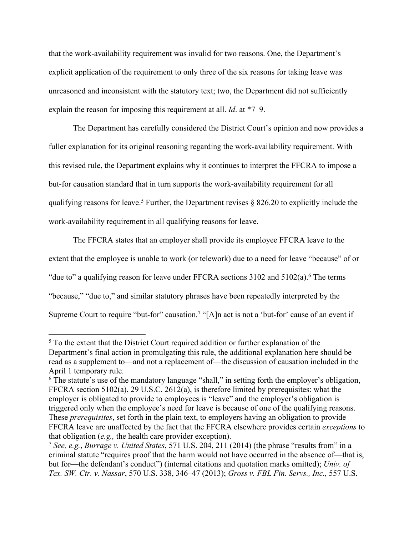that the work-availability requirement was invalid for two reasons. One, the Department's explicit application of the requirement to only three of the six reasons for taking leave was unreasoned and inconsistent with the statutory text; two, the Department did not sufficiently explain the reason for imposing this requirement at all. *Id*. at \*7–9.

The Department has carefully considered the District Court's opinion and now provides a fuller explanation for its original reasoning regarding the work-availability requirement. With this revised rule, the Department explains why it continues to interpret the FFCRA to impose a but-for causation standard that in turn supports the work-availability requirement for all qualifying reasons for leave.<sup>5</sup> Further, the Department revises  $\S$  826.20 to explicitly include the work-availability requirement in all qualifying reasons for leave.

The FFCRA states that an employer shall provide its employee FFCRA leave to the extent that the employee is unable to work (or telework) due to a need for leave "because" of or "due to" a qualifying reason for leave under FFCRA sections  $3102$  and  $5102(a)$ .<sup>6</sup> The terms "because," "due to," and similar statutory phrases have been repeatedly interpreted by the Supreme Court to require "but-for" causation.<sup>7</sup> "[A]n act is not a 'but-for' cause of an event if

<sup>&</sup>lt;sup>5</sup> To the extent that the District Court required addition or further explanation of the Department's final action in promulgating this rule, the additional explanation here should be read as a supplement to—and not a replacement of—the discussion of causation included in the April 1 temporary rule.

<sup>&</sup>lt;sup>6</sup> The statute's use of the mandatory language "shall," in setting forth the employer's obligation, FFCRA section 5102(a), 29 U.S.C. 2612(a), is therefore limited by prerequisites: what the employer is obligated to provide to employees is "leave" and the employer's obligation is triggered only when the employee's need for leave is because of one of the qualifying reasons. These *prerequisites*, set forth in the plain text, to employers having an obligation to provide FFCRA leave are unaffected by the fact that the FFCRA elsewhere provides certain *exceptions* to that obligation (*e.g.,* the health care provider exception).

<sup>7</sup> *See, e.g.*, *Burrage v. United States*, 571 U.S. 204, 211 (2014) (the phrase "results from" in a criminal statute "requires proof that the harm would not have occurred in the absence of—that is, but for—the defendant's conduct") (internal citations and quotation marks omitted); *Univ. of Tex. SW. Ctr. v. Nassar*, 570 U.S. 338, 346–47 (2013); *Gross v. FBL Fin. Servs., Inc.,* 557 U.S.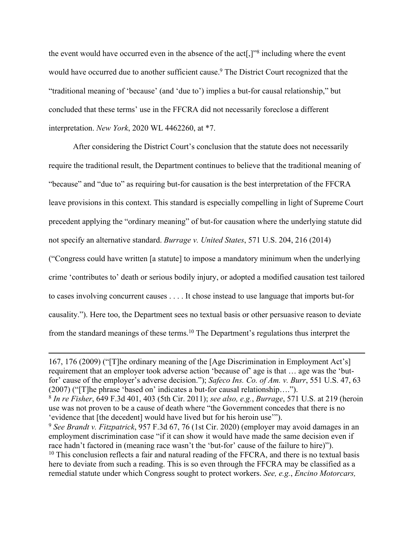the event would have occurred even in the absence of the act[,]"<sup>8</sup> including where the event would have occurred due to another sufficient cause.<sup>9</sup> The District Court recognized that the "traditional meaning of 'because' (and 'due to') implies a but-for causal relationship," but concluded that these terms' use in the FFCRA did not necessarily foreclose a different interpretation. *New York*, 2020 WL 4462260, at \*7.

After considering the District Court's conclusion that the statute does not necessarily require the traditional result, the Department continues to believe that the traditional meaning of "because" and "due to" as requiring but-for causation is the best interpretation of the FFCRA leave provisions in this context. This standard is especially compelling in light of Supreme Court precedent applying the "ordinary meaning" of but-for causation where the underlying statute did not specify an alternative standard. *Burrage v. United States*, 571 U.S. 204, 216 (2014)

("Congress could have written [a statute] to impose a mandatory minimum when the underlying crime 'contributes to' death or serious bodily injury, or adopted a modified causation test tailored to cases involving concurrent causes . . . . It chose instead to use language that imports but-for causality."). Here too, the Department sees no textual basis or other persuasive reason to deviate from the standard meanings of these terms.<sup>10</sup> The Department's regulations thus interpret the

<sup>167, 176 (2009) (&</sup>quot;[T]he ordinary meaning of the [Age Discrimination in Employment Act's] requirement that an employer took adverse action 'because of' age is that … age was the 'butfor' cause of the employer's adverse decision."); *Safeco Ins. Co. of Am. v. Burr*, 551 U.S. 47, 63 (2007) ("[T]he phrase 'based on' indicates a but-for causal relationship….").

<sup>8</sup> *In re Fisher*, 649 F.3d 401, 403 (5th Cir. 2011); *see also, e.g.*, *Burrage*, 571 U.S. at 219 (heroin use was not proven to be a cause of death where "the Government concedes that there is no 'evidence that [the decedent] would have lived but for his heroin use'").

<sup>9</sup> *See Brandt v. Fitzpatrick*, 957 F.3d 67, 76 (1st Cir. 2020) (employer may avoid damages in an employment discrimination case "if it can show it would have made the same decision even if race hadn't factored in (meaning race wasn't the 'but-for' cause of the failure to hire)").  $10$  This conclusion reflects a fair and natural reading of the FFCRA, and there is no textual basis here to deviate from such a reading. This is so even through the FFCRA may be classified as a remedial statute under which Congress sought to protect workers. *See, e.g.*, *Encino Motorcars,*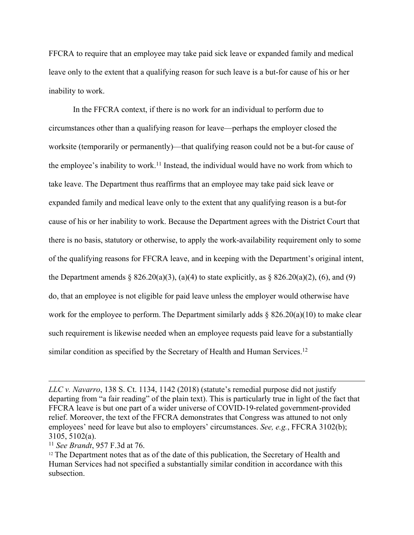FFCRA to require that an employee may take paid sick leave or expanded family and medical leave only to the extent that a qualifying reason for such leave is a but-for cause of his or her inability to work.

In the FFCRA context, if there is no work for an individual to perform due to circumstances other than a qualifying reason for leave—perhaps the employer closed the worksite (temporarily or permanently)—that qualifying reason could not be a but-for cause of the employee's inability to work.<sup>11</sup> Instead, the individual would have no work from which to take leave. The Department thus reaffirms that an employee may take paid sick leave or expanded family and medical leave only to the extent that any qualifying reason is a but-for cause of his or her inability to work. Because the Department agrees with the District Court that there is no basis, statutory or otherwise, to apply the work-availability requirement only to some of the qualifying reasons for FFCRA leave, and in keeping with the Department's original intent, the Department amends  $\S 826.20(a)(3)$ ,  $(a)(4)$  to state explicitly, as  $\S 826.20(a)(2)$ ,  $(6)$ , and  $(9)$ do, that an employee is not eligible for paid leave unless the employer would otherwise have work for the employee to perform. The Department similarly adds  $\S$  826.20(a)(10) to make clear such requirement is likewise needed when an employee requests paid leave for a substantially similar condition as specified by the Secretary of Health and Human Services.<sup>12</sup>

*LLC v. Navarro*, 138 S. Ct. 1134, 1142 (2018) (statute's remedial purpose did not justify departing from "a fair reading" of the plain text). This is particularly true in light of the fact that FFCRA leave is but one part of a wider universe of COVID-19-related government-provided relief. Moreover, the text of the FFCRA demonstrates that Congress was attuned to not only employees' need for leave but also to employers' circumstances. *See, e.g.*, FFCRA 3102(b); 3105, 5102(a).

<sup>11</sup> *See Brandt*, 957 F.3d at 76.

<sup>&</sup>lt;sup>12</sup> The Department notes that as of the date of this publication, the Secretary of Health and Human Services had not specified a substantially similar condition in accordance with this subsection.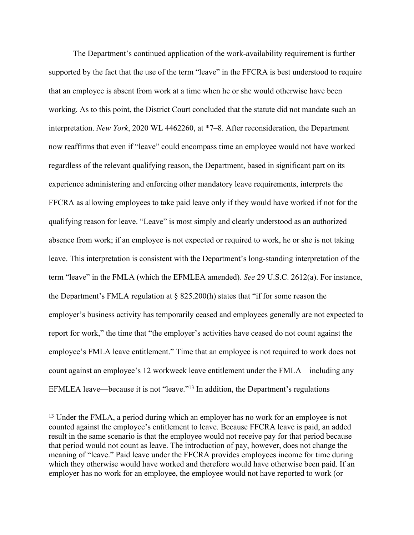The Department's continued application of the work-availability requirement is further supported by the fact that the use of the term "leave" in the FFCRA is best understood to require that an employee is absent from work at a time when he or she would otherwise have been working. As to this point, the District Court concluded that the statute did not mandate such an interpretation. *New York*, 2020 WL 4462260, at \*7–8. After reconsideration, the Department now reaffirms that even if "leave" could encompass time an employee would not have worked regardless of the relevant qualifying reason, the Department, based in significant part on its experience administering and enforcing other mandatory leave requirements, interprets the FFCRA as allowing employees to take paid leave only if they would have worked if not for the qualifying reason for leave. "Leave" is most simply and clearly understood as an authorized absence from work; if an employee is not expected or required to work, he or she is not taking leave. This interpretation is consistent with the Department's long-standing interpretation of the term "leave" in the FMLA (which the EFMLEA amended). *See* 29 U.S.C. 2612(a). For instance, the Department's FMLA regulation at § 825.200(h) states that "if for some reason the employer's business activity has temporarily ceased and employees generally are not expected to report for work," the time that "the employer's activities have ceased do not count against the employee's FMLA leave entitlement." Time that an employee is not required to work does not count against an employee's 12 workweek leave entitlement under the FMLA—including any EFMLEA leave—because it is not "leave."<sup>13</sup> In addition, the Department's regulations

<sup>&</sup>lt;sup>13</sup> Under the FMLA, a period during which an employer has no work for an employee is not counted against the employee's entitlement to leave. Because FFCRA leave is paid, an added result in the same scenario is that the employee would not receive pay for that period because that period would not count as leave. The introduction of pay, however, does not change the meaning of "leave." Paid leave under the FFCRA provides employees income for time during which they otherwise would have worked and therefore would have otherwise been paid. If an employer has no work for an employee, the employee would not have reported to work (or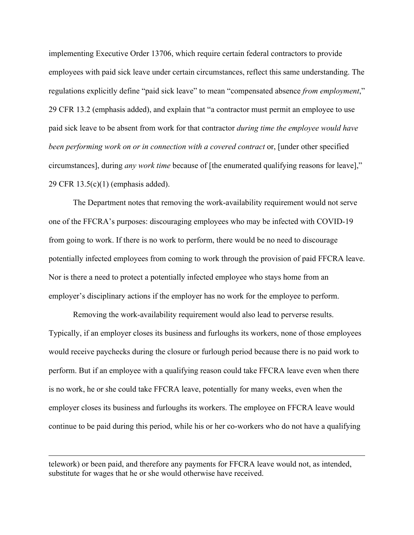implementing Executive Order 13706, which require certain federal contractors to provide employees with paid sick leave under certain circumstances, reflect this same understanding. The regulations explicitly define "paid sick leave" to mean "compensated absence *from employment*," 29 CFR 13.2 (emphasis added), and explain that "a contractor must permit an employee to use paid sick leave to be absent from work for that contractor *during time the employee would have been performing work on or in connection with a covered contract* or, [under other specified circumstances], during *any work time* because of [the enumerated qualifying reasons for leave]," 29 CFR 13.5(c)(1) (emphasis added).

The Department notes that removing the work-availability requirement would not serve one of the FFCRA's purposes: discouraging employees who may be infected with COVID-19 from going to work. If there is no work to perform, there would be no need to discourage potentially infected employees from coming to work through the provision of paid FFCRA leave. Nor is there a need to protect a potentially infected employee who stays home from an employer's disciplinary actions if the employer has no work for the employee to perform.

Removing the work-availability requirement would also lead to perverse results. Typically, if an employer closes its business and furloughs its workers, none of those employees would receive paychecks during the closure or furlough period because there is no paid work to perform. But if an employee with a qualifying reason could take FFCRA leave even when there is no work, he or she could take FFCRA leave, potentially for many weeks, even when the employer closes its business and furloughs its workers. The employee on FFCRA leave would continue to be paid during this period, while his or her co-workers who do not have a qualifying

telework) or been paid, and therefore any payments for FFCRA leave would not, as intended, substitute for wages that he or she would otherwise have received.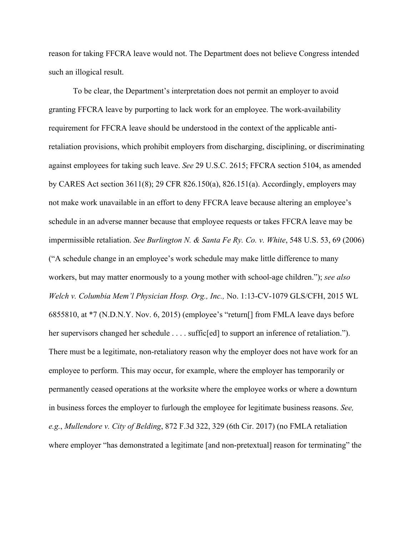reason for taking FFCRA leave would not. The Department does not believe Congress intended such an illogical result.

To be clear, the Department's interpretation does not permit an employer to avoid granting FFCRA leave by purporting to lack work for an employee. The work-availability requirement for FFCRA leave should be understood in the context of the applicable antiretaliation provisions, which prohibit employers from discharging, disciplining, or discriminating against employees for taking such leave. *See* 29 U.S.C. 2615; FFCRA section 5104, as amended by CARES Act section 3611(8); 29 CFR 826.150(a), 826.151(a). Accordingly, employers may not make work unavailable in an effort to deny FFCRA leave because altering an employee's schedule in an adverse manner because that employee requests or takes FFCRA leave may be impermissible retaliation. *See Burlington N. & Santa Fe Ry. Co. v. White*, 548 U.S. 53, 69 (2006) ("A schedule change in an employee's work schedule may make little difference to many workers, but may matter enormously to a young mother with school-age children."); *see also Welch v. Columbia Mem'l Physician Hosp. Org., Inc.,* No. 1:13-CV-1079 GLS/CFH, 2015 WL 6855810, at \*7 (N.D.N.Y. Nov. 6, 2015) (employee's "return[] from FMLA leave days before her supervisors changed her schedule . . . . suffic[ed] to support an inference of retaliation."). There must be a legitimate, non-retaliatory reason why the employer does not have work for an employee to perform. This may occur, for example, where the employer has temporarily or permanently ceased operations at the worksite where the employee works or where a downturn in business forces the employer to furlough the employee for legitimate business reasons. *See, e.g.*, *Mullendore v. City of Belding*, 872 F.3d 322, 329 (6th Cir. 2017) (no FMLA retaliation where employer "has demonstrated a legitimate [and non-pretextual] reason for terminating" the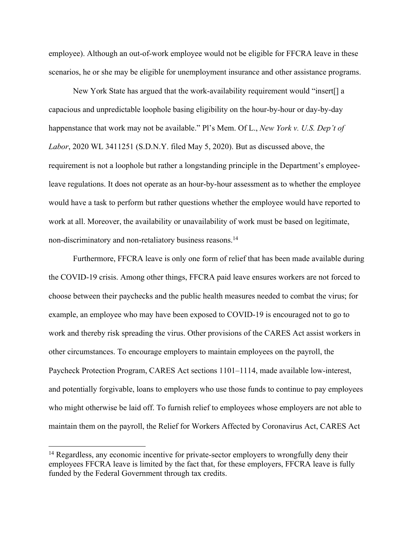employee). Although an out-of-work employee would not be eligible for FFCRA leave in these scenarios, he or she may be eligible for unemployment insurance and other assistance programs.

New York State has argued that the work-availability requirement would "insert[] a capacious and unpredictable loophole basing eligibility on the hour-by-hour or day-by-day happenstance that work may not be available." Pl's Mem. Of L., *New York v. U.S. Dep't of Labor*, 2020 WL 3411251 (S.D.N.Y. filed May 5, 2020). But as discussed above, the requirement is not a loophole but rather a longstanding principle in the Department's employeeleave regulations. It does not operate as an hour-by-hour assessment as to whether the employee would have a task to perform but rather questions whether the employee would have reported to work at all. Moreover, the availability or unavailability of work must be based on legitimate, non-discriminatory and non-retaliatory business reasons.<sup>14</sup>

Furthermore, FFCRA leave is only one form of relief that has been made available during the COVID-19 crisis. Among other things, FFCRA paid leave ensures workers are not forced to choose between their paychecks and the public health measures needed to combat the virus; for example, an employee who may have been exposed to COVID-19 is encouraged not to go to work and thereby risk spreading the virus. Other provisions of the CARES Act assist workers in other circumstances. To encourage employers to maintain employees on the payroll, the Paycheck Protection Program, CARES Act sections 1101–1114, made available low-interest, and potentially forgivable, loans to employers who use those funds to continue to pay employees who might otherwise be laid off. To furnish relief to employees whose employers are not able to maintain them on the payroll, the Relief for Workers Affected by Coronavirus Act, CARES Act

<sup>&</sup>lt;sup>14</sup> Regardless, any economic incentive for private-sector employers to wrongfully deny their employees FFCRA leave is limited by the fact that, for these employers, FFCRA leave is fully funded by the Federal Government through tax credits.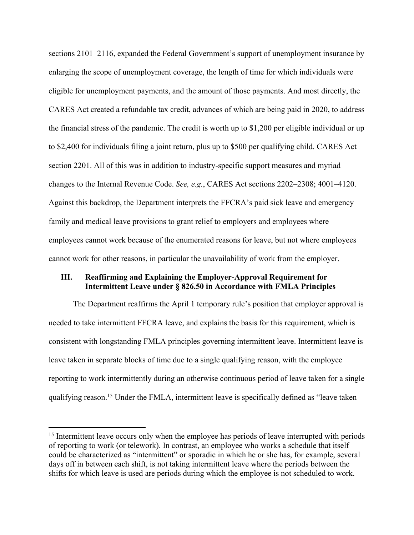sections 2101–2116, expanded the Federal Government's support of unemployment insurance by enlarging the scope of unemployment coverage, the length of time for which individuals were eligible for unemployment payments, and the amount of those payments. And most directly, the CARES Act created a refundable tax credit, advances of which are being paid in 2020, to address the financial stress of the pandemic. The credit is worth up to \$1,200 per eligible individual or up to \$2,400 for individuals filing a joint return, plus up to \$500 per qualifying child. CARES Act section 2201. All of this was in addition to industry-specific support measures and myriad changes to the Internal Revenue Code. *See, e.g.*, CARES Act sections 2202–2308; 4001–4120. Against this backdrop, the Department interprets the FFCRA's paid sick leave and emergency family and medical leave provisions to grant relief to employers and employees where employees cannot work because of the enumerated reasons for leave, but not where employees cannot work for other reasons, in particular the unavailability of work from the employer.

## **III. Reaffirming and Explaining the Employer-Approval Requirement for Intermittent Leave under § 826.50 in Accordance with FMLA Principles**

The Department reaffirms the April 1 temporary rule's position that employer approval is needed to take intermittent FFCRA leave, and explains the basis for this requirement, which is consistent with longstanding FMLA principles governing intermittent leave. Intermittent leave is leave taken in separate blocks of time due to a single qualifying reason, with the employee reporting to work intermittently during an otherwise continuous period of leave taken for a single qualifying reason.<sup>15</sup> Under the FMLA, intermittent leave is specifically defined as "leave taken

<sup>&</sup>lt;sup>15</sup> Intermittent leave occurs only when the employee has periods of leave interrupted with periods of reporting to work (or telework). In contrast, an employee who works a schedule that itself could be characterized as "intermittent" or sporadic in which he or she has, for example, several days off in between each shift, is not taking intermittent leave where the periods between the shifts for which leave is used are periods during which the employee is not scheduled to work.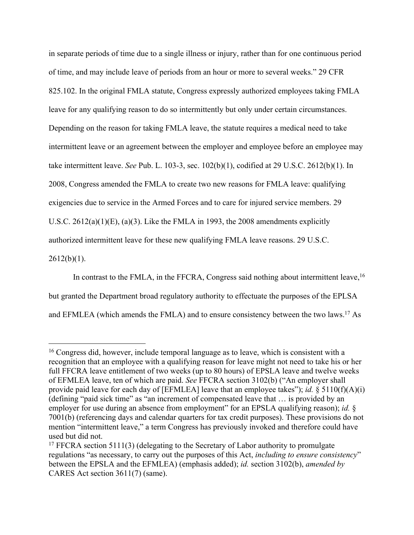in separate periods of time due to a single illness or injury, rather than for one continuous period of time, and may include leave of periods from an hour or more to several weeks." 29 CFR 825.102. In the original FMLA statute, Congress expressly authorized employees taking FMLA leave for any qualifying reason to do so intermittently but only under certain circumstances. Depending on the reason for taking FMLA leave, the statute requires a medical need to take intermittent leave or an agreement between the employer and employee before an employee may take intermittent leave. *See* Pub. L. 103-3, sec. 102(b)(1), codified at 29 U.S.C. 2612(b)(1). In 2008, Congress amended the FMLA to create two new reasons for FMLA leave: qualifying exigencies due to service in the Armed Forces and to care for injured service members. 29 U.S.C. 2612(a)(1)(E), (a)(3). Like the FMLA in 1993, the 2008 amendments explicitly authorized intermittent leave for these new qualifying FMLA leave reasons. 29 U.S.C.  $2612(b)(1)$ .

In contrast to the FMLA, in the FFCRA, Congress said nothing about intermittent leave,  $16$ but granted the Department broad regulatory authority to effectuate the purposes of the EPLSA and EFMLEA (which amends the FMLA) and to ensure consistency between the two laws.<sup>17</sup> As

<sup>16</sup> Congress did, however, include temporal language as to leave, which is consistent with a recognition that an employee with a qualifying reason for leave might not need to take his or her full FFCRA leave entitlement of two weeks (up to 80 hours) of EPSLA leave and twelve weeks of EFMLEA leave, ten of which are paid. *See* FFCRA section 3102(b) ("An employer shall provide paid leave for each day of [EFMLEA] leave that an employee takes"); *id.* § 5110(f)(A)(i) (defining "paid sick time" as "an increment of compensated leave that … is provided by an employer for use during an absence from employment" for an EPSLA qualifying reason); *id.* § 7001(b) (referencing days and calendar quarters for tax credit purposes). These provisions do not mention "intermittent leave," a term Congress has previously invoked and therefore could have used but did not.

<sup>&</sup>lt;sup>17</sup> FFCRA section 5111(3) (delegating to the Secretary of Labor authority to promulgate regulations "as necessary, to carry out the purposes of this Act, *including to ensure consistency*" between the EPSLA and the EFMLEA) (emphasis added); *id.* section 3102(b), *amended by* CARES Act section 3611(7) (same).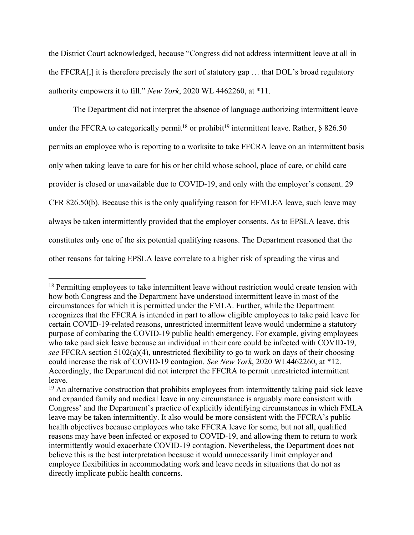the District Court acknowledged, because "Congress did not address intermittent leave at all in the FFCRA[,] it is therefore precisely the sort of statutory gap … that DOL's broad regulatory authority empowers it to fill." *New York*, 2020 WL 4462260, at \*11.

The Department did not interpret the absence of language authorizing intermittent leave under the FFCRA to categorically permit<sup>18</sup> or prohibit<sup>19</sup> intermittent leave. Rather,  $\S$  826.50 permits an employee who is reporting to a worksite to take FFCRA leave on an intermittent basis only when taking leave to care for his or her child whose school, place of care, or child care provider is closed or unavailable due to COVID-19, and only with the employer's consent. 29 CFR 826.50(b). Because this is the only qualifying reason for EFMLEA leave, such leave may always be taken intermittently provided that the employer consents. As to EPSLA leave, this constitutes only one of the six potential qualifying reasons. The Department reasoned that the other reasons for taking EPSLA leave correlate to a higher risk of spreading the virus and

<sup>&</sup>lt;sup>18</sup> Permitting employees to take intermittent leave without restriction would create tension with how both Congress and the Department have understood intermittent leave in most of the circumstances for which it is permitted under the FMLA. Further, while the Department recognizes that the FFCRA is intended in part to allow eligible employees to take paid leave for certain COVID-19-related reasons, unrestricted intermittent leave would undermine a statutory purpose of combating the COVID-19 public health emergency. For example, giving employees who take paid sick leave because an individual in their care could be infected with COVID-19, *see* FFCRA section 5102(a)(4), unrestricted flexibility to go to work on days of their choosing could increase the risk of COVID-19 contagion. *See New York*, 2020 WL4462260, at \*12. Accordingly, the Department did not interpret the FFCRA to permit unrestricted intermittent leave.

<sup>&</sup>lt;sup>19</sup> An alternative construction that prohibits employees from intermittently taking paid sick leave and expanded family and medical leave in any circumstance is arguably more consistent with Congress' and the Department's practice of explicitly identifying circumstances in which FMLA leave may be taken intermittently. It also would be more consistent with the FFCRA's public health objectives because employees who take FFCRA leave for some, but not all, qualified reasons may have been infected or exposed to COVID-19, and allowing them to return to work intermittently would exacerbate COVID-19 contagion. Nevertheless, the Department does not believe this is the best interpretation because it would unnecessarily limit employer and employee flexibilities in accommodating work and leave needs in situations that do not as directly implicate public health concerns.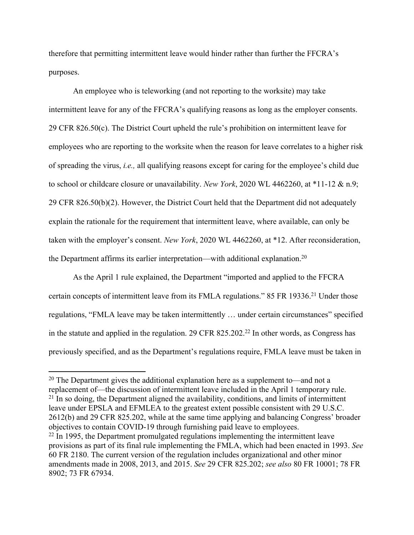therefore that permitting intermittent leave would hinder rather than further the FFCRA's purposes.

An employee who is teleworking (and not reporting to the worksite) may take intermittent leave for any of the FFCRA's qualifying reasons as long as the employer consents. 29 CFR 826.50(c). The District Court upheld the rule's prohibition on intermittent leave for employees who are reporting to the worksite when the reason for leave correlates to a higher risk of spreading the virus, *i.e.,* all qualifying reasons except for caring for the employee's child due to school or childcare closure or unavailability. *New York*, 2020 WL 4462260, at \*11-12 & n.9; 29 CFR 826.50(b)(2). However, the District Court held that the Department did not adequately explain the rationale for the requirement that intermittent leave, where available, can only be taken with the employer's consent. *New York*, 2020 WL 4462260, at \*12. After reconsideration, the Department affirms its earlier interpretation—with additional explanation.<sup>20</sup>

As the April 1 rule explained, the Department "imported and applied to the FFCRA certain concepts of intermittent leave from its FMLA regulations." 85 FR 19336.<sup>21</sup> Under those regulations, "FMLA leave may be taken intermittently … under certain circumstances" specified in the statute and applied in the regulation. 29 CFR 825.202.<sup>22</sup> In other words, as Congress has previously specified, and as the Department's regulations require, FMLA leave must be taken in

<sup>20</sup> The Department gives the additional explanation here as a supplement to—and not a replacement of—the discussion of intermittent leave included in the April 1 temporary rule.  $21$  In so doing, the Department aligned the availability, conditions, and limits of intermittent leave under EPSLA and EFMLEA to the greatest extent possible consistent with 29 U.S.C. 2612(b) and 29 CFR 825.202, while at the same time applying and balancing Congress' broader objectives to contain COVID-19 through furnishing paid leave to employees. <sup>22</sup> In 1995, the Department promulgated regulations implementing the intermittent leave provisions as part of its final rule implementing the FMLA, which had been enacted in 1993. *See* 60 FR 2180. The current version of the regulation includes organizational and other minor amendments made in 2008, 2013, and 2015. *See* 29 CFR 825.202; *see also* 80 FR 10001; 78 FR 8902; 73 FR 67934.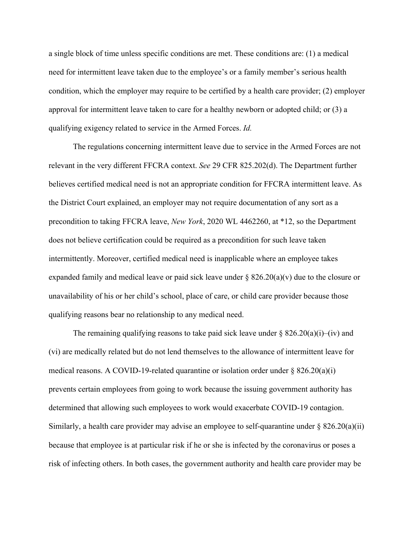a single block of time unless specific conditions are met. These conditions are: (1) a medical need for intermittent leave taken due to the employee's or a family member's serious health condition, which the employer may require to be certified by a health care provider; (2) employer approval for intermittent leave taken to care for a healthy newborn or adopted child; or (3) a qualifying exigency related to service in the Armed Forces. *Id.* 

The regulations concerning intermittent leave due to service in the Armed Forces are not relevant in the very different FFCRA context. *See* 29 CFR 825.202(d). The Department further believes certified medical need is not an appropriate condition for FFCRA intermittent leave. As the District Court explained, an employer may not require documentation of any sort as a precondition to taking FFCRA leave, *New York*, 2020 WL 4462260, at \*12, so the Department does not believe certification could be required as a precondition for such leave taken intermittently. Moreover, certified medical need is inapplicable where an employee takes expanded family and medical leave or paid sick leave under  $\S 826.20(a)(v)$  due to the closure or unavailability of his or her child's school, place of care, or child care provider because those qualifying reasons bear no relationship to any medical need.

The remaining qualifying reasons to take paid sick leave under  $\S 826.20(a)(i)$ –(iv) and (vi) are medically related but do not lend themselves to the allowance of intermittent leave for medical reasons. A COVID-19-related quarantine or isolation order under  $\S$  826.20(a)(i) prevents certain employees from going to work because the issuing government authority has determined that allowing such employees to work would exacerbate COVID-19 contagion. Similarly, a health care provider may advise an employee to self-quarantine under  $\S 826.20(a)(ii)$ because that employee is at particular risk if he or she is infected by the coronavirus or poses a risk of infecting others. In both cases, the government authority and health care provider may be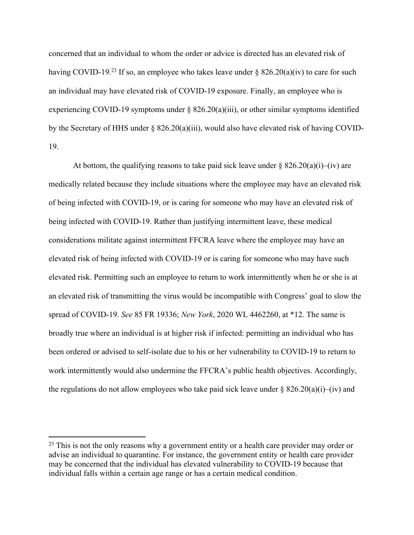concerned that an individual to whom the order or advice is directed has an elevated risk of having COVID-19.<sup>23</sup> If so, an employee who takes leave under  $\S$  826.20(a)(iv) to care for such an individual may have elevated risk of COVID-19 exposure. Finally, an employee who is experiencing COVID-19 symptoms under  $\S$  826.20(a)(iii), or other similar symptoms identified by the Secretary of HHS under § 826.20(a)(iii), would also have elevated risk of having COVID-19.

At bottom, the qualifying reasons to take paid sick leave under  $\S 826.20(a)(i)$ –(iv) are medically related because they include situations where the employee may have an elevated risk of being infected with COVID-19, or is caring for someone who may have an elevated risk of being infected with COVID-19. Rather than justifying intermittent leave, these medical considerations militate against intermittent FFCRA leave where the employee may have an elevated risk of being infected with COVID-19 or is caring for someone who may have such elevated risk. Permitting such an employee to return to work intermittently when he or she is at an elevated risk of transmitting the virus would be incompatible with Congress' goal to slow the spread of COVID-19. *See* 85 FR 19336; *New York*, 2020 WL 4462260, at \*12. The same is broadly true where an individual is at higher risk if infected: permitting an individual who has been ordered or advised to self-isolate due to his or her vulnerability to COVID-19 to return to work intermittently would also undermine the FFCRA's public health objectives. Accordingly, the regulations do not allow employees who take paid sick leave under  $\S 826.20(a)(i)$ –(iv) and

<sup>&</sup>lt;sup>23</sup> This is not the only reasons why a government entity or a health care provider may order or advise an individual to quarantine. For instance, the government entity or health care provider may be concerned that the individual has elevated vulnerability to COVID-19 because that individual falls within a certain age range or has a certain medical condition.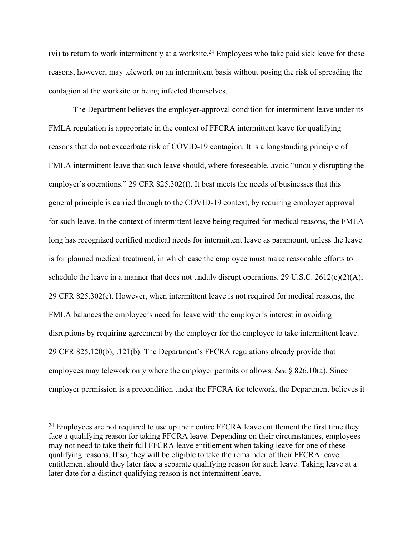(vi) to return to work intermittently at a worksite.<sup>24</sup> Employees who take paid sick leave for these reasons, however, may telework on an intermittent basis without posing the risk of spreading the contagion at the worksite or being infected themselves.

The Department believes the employer-approval condition for intermittent leave under its FMLA regulation is appropriate in the context of FFCRA intermittent leave for qualifying reasons that do not exacerbate risk of COVID-19 contagion. It is a longstanding principle of FMLA intermittent leave that such leave should, where foreseeable, avoid "unduly disrupting the employer's operations." 29 CFR 825.302(f). It best meets the needs of businesses that this general principle is carried through to the COVID-19 context, by requiring employer approval for such leave. In the context of intermittent leave being required for medical reasons, the FMLA long has recognized certified medical needs for intermittent leave as paramount, unless the leave is for planned medical treatment, in which case the employee must make reasonable efforts to schedule the leave in a manner that does not unduly disrupt operations. 29 U.S.C.  $2612(e)(2)(A)$ ; 29 CFR 825.302(e). However, when intermittent leave is not required for medical reasons, the FMLA balances the employee's need for leave with the employer's interest in avoiding disruptions by requiring agreement by the employer for the employee to take intermittent leave. 29 CFR 825.120(b); .121(b). The Department's FFCRA regulations already provide that employees may telework only where the employer permits or allows. *See* § 826.10(a). Since employer permission is a precondition under the FFCRA for telework, the Department believes it

<sup>&</sup>lt;sup>24</sup> Employees are not required to use up their entire FFCRA leave entitlement the first time they face a qualifying reason for taking FFCRA leave. Depending on their circumstances, employees may not need to take their full FFCRA leave entitlement when taking leave for one of these qualifying reasons. If so, they will be eligible to take the remainder of their FFCRA leave entitlement should they later face a separate qualifying reason for such leave. Taking leave at a later date for a distinct qualifying reason is not intermittent leave.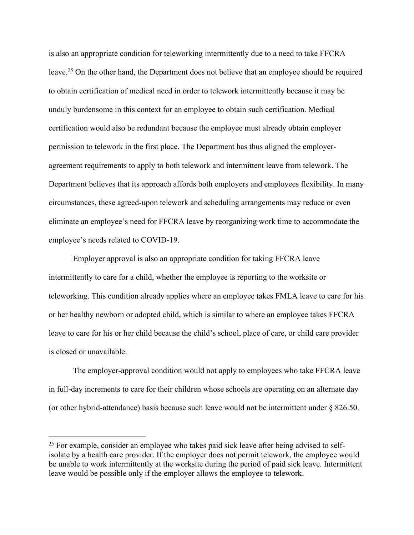is also an appropriate condition for teleworking intermittently due to a need to take FFCRA leave.<sup>25</sup> On the other hand, the Department does not believe that an employee should be required to obtain certification of medical need in order to telework intermittently because it may be unduly burdensome in this context for an employee to obtain such certification. Medical certification would also be redundant because the employee must already obtain employer permission to telework in the first place. The Department has thus aligned the employeragreement requirements to apply to both telework and intermittent leave from telework. The Department believes that its approach affords both employers and employees flexibility. In many circumstances, these agreed-upon telework and scheduling arrangements may reduce or even eliminate an employee's need for FFCRA leave by reorganizing work time to accommodate the employee's needs related to COVID-19.

Employer approval is also an appropriate condition for taking FFCRA leave intermittently to care for a child, whether the employee is reporting to the worksite or teleworking. This condition already applies where an employee takes FMLA leave to care for his or her healthy newborn or adopted child, which is similar to where an employee takes FFCRA leave to care for his or her child because the child's school, place of care, or child care provider is closed or unavailable.

The employer-approval condition would not apply to employees who take FFCRA leave in full-day increments to care for their children whose schools are operating on an alternate day (or other hybrid-attendance) basis because such leave would not be intermittent under § 826.50.

<sup>&</sup>lt;sup>25</sup> For example, consider an employee who takes paid sick leave after being advised to selfisolate by a health care provider. If the employer does not permit telework, the employee would be unable to work intermittently at the worksite during the period of paid sick leave. Intermittent leave would be possible only if the employer allows the employee to telework.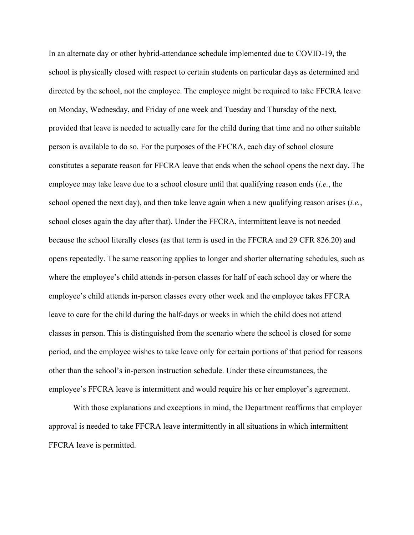In an alternate day or other hybrid-attendance schedule implemented due to COVID-19, the school is physically closed with respect to certain students on particular days as determined and directed by the school, not the employee. The employee might be required to take FFCRA leave on Monday, Wednesday, and Friday of one week and Tuesday and Thursday of the next, provided that leave is needed to actually care for the child during that time and no other suitable person is available to do so. For the purposes of the FFCRA, each day of school closure constitutes a separate reason for FFCRA leave that ends when the school opens the next day. The employee may take leave due to a school closure until that qualifying reason ends (*i.e.*, the school opened the next day), and then take leave again when a new qualifying reason arises (*i.e.*, school closes again the day after that). Under the FFCRA, intermittent leave is not needed because the school literally closes (as that term is used in the FFCRA and 29 CFR 826.20) and opens repeatedly. The same reasoning applies to longer and shorter alternating schedules, such as where the employee's child attends in-person classes for half of each school day or where the employee's child attends in-person classes every other week and the employee takes FFCRA leave to care for the child during the half-days or weeks in which the child does not attend classes in person. This is distinguished from the scenario where the school is closed for some period, and the employee wishes to take leave only for certain portions of that period for reasons other than the school's in-person instruction schedule. Under these circumstances, the employee's FFCRA leave is intermittent and would require his or her employer's agreement.

With those explanations and exceptions in mind, the Department reaffirms that employer approval is needed to take FFCRA leave intermittently in all situations in which intermittent FFCRA leave is permitted.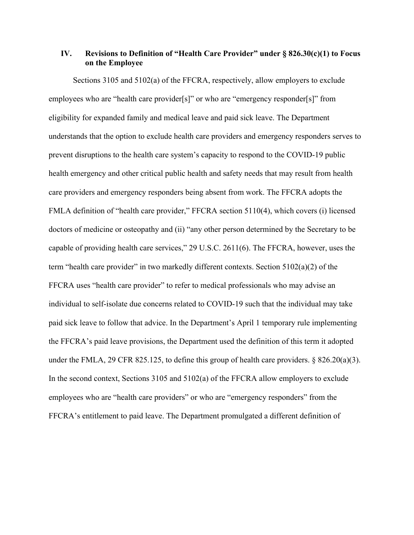# **IV. Revisions to Definition of "Health Care Provider" under § 826.30(c)(1) to Focus on the Employee**

Sections 3105 and 5102(a) of the FFCRA, respectively, allow employers to exclude employees who are "health care provider[s]" or who are "emergency responder[s]" from eligibility for expanded family and medical leave and paid sick leave. The Department understands that the option to exclude health care providers and emergency responders serves to prevent disruptions to the health care system's capacity to respond to the COVID-19 public health emergency and other critical public health and safety needs that may result from health care providers and emergency responders being absent from work. The FFCRA adopts the FMLA definition of "health care provider," FFCRA section 5110(4), which covers (i) licensed doctors of medicine or osteopathy and (ii) "any other person determined by the Secretary to be capable of providing health care services," 29 U.S.C. 2611(6). The FFCRA, however, uses the term "health care provider" in two markedly different contexts. Section 5102(a)(2) of the FFCRA uses "health care provider" to refer to medical professionals who may advise an individual to self-isolate due concerns related to COVID-19 such that the individual may take paid sick leave to follow that advice. In the Department's April 1 temporary rule implementing the FFCRA's paid leave provisions, the Department used the definition of this term it adopted under the FMLA, 29 CFR 825.125, to define this group of health care providers.  $\S 826.20(a)(3)$ . In the second context, Sections 3105 and 5102(a) of the FFCRA allow employers to exclude employees who are "health care providers" or who are "emergency responders" from the FFCRA's entitlement to paid leave. The Department promulgated a different definition of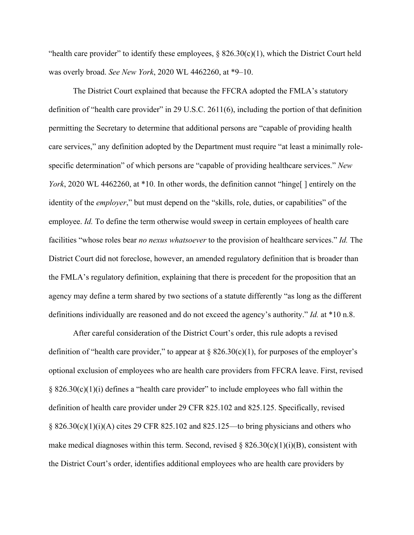"health care provider" to identify these employees,  $\S$  826.30(c)(1), which the District Court held was overly broad. *See New York*, 2020 WL 4462260, at \*9–10.

The District Court explained that because the FFCRA adopted the FMLA's statutory definition of "health care provider" in 29 U.S.C. 2611(6), including the portion of that definition permitting the Secretary to determine that additional persons are "capable of providing health care services," any definition adopted by the Department must require "at least a minimally rolespecific determination" of which persons are "capable of providing healthcare services." *New York*, 2020 WL 4462260, at \*10. In other words, the definition cannot "hinge" entirely on the identity of the *employer*," but must depend on the "skills, role, duties, or capabilities" of the employee. *Id.* To define the term otherwise would sweep in certain employees of health care facilities "whose roles bear *no nexus whatsoever* to the provision of healthcare services." *Id.* The District Court did not foreclose, however, an amended regulatory definition that is broader than the FMLA's regulatory definition, explaining that there is precedent for the proposition that an agency may define a term shared by two sections of a statute differently "as long as the different definitions individually are reasoned and do not exceed the agency's authority." *Id.* at \*10 n.8.

After careful consideration of the District Court's order, this rule adopts a revised definition of "health care provider," to appear at  $\S 826.30(c)(1)$ , for purposes of the employer's optional exclusion of employees who are health care providers from FFCRA leave. First, revised  $§ 826.30(c)(1)(i)$  defines a "health care provider" to include employees who fall within the definition of health care provider under 29 CFR 825.102 and 825.125. Specifically, revised  $\S$  826.30(c)(1)(i)(A) cites 29 CFR 825.102 and 825.125—to bring physicians and others who make medical diagnoses within this term. Second, revised  $\S$  826.30(c)(1)(i)(B), consistent with the District Court's order, identifies additional employees who are health care providers by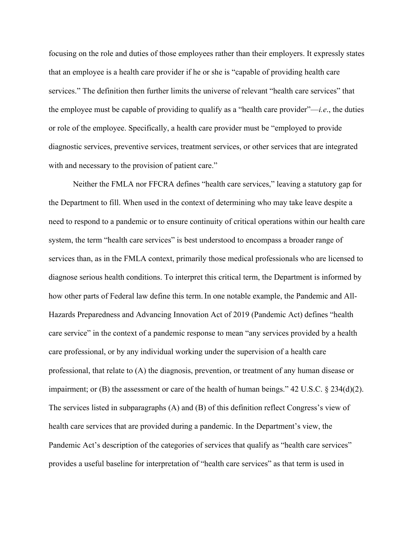focusing on the role and duties of those employees rather than their employers. It expressly states that an employee is a health care provider if he or she is "capable of providing health care services." The definition then further limits the universe of relevant "health care services" that the employee must be capable of providing to qualify as a "health care provider"—*i.e*., the duties or role of the employee. Specifically, a health care provider must be "employed to provide diagnostic services, preventive services, treatment services, or other services that are integrated with and necessary to the provision of patient care."

Neither the FMLA nor FFCRA defines "health care services," leaving a statutory gap for the Department to fill. When used in the context of determining who may take leave despite a need to respond to a pandemic or to ensure continuity of critical operations within our health care system, the term "health care services" is best understood to encompass a broader range of services than, as in the FMLA context, primarily those medical professionals who are licensed to diagnose serious health conditions. To interpret this critical term, the Department is informed by how other parts of Federal law define this term.In one notable example, the Pandemic and All-Hazards Preparedness and Advancing Innovation Act of 2019 (Pandemic Act) defines "health care service" in the context of a pandemic response to mean "any services provided by a health care professional, or by any individual working under the supervision of a health care professional, that relate to (A) the diagnosis, prevention, or treatment of any human disease or impairment; or (B) the assessment or care of the health of human beings." 42 U.S.C. § 234(d)(2). The services listed in subparagraphs (A) and (B) of this definition reflect Congress's view of health care services that are provided during a pandemic. In the Department's view, the Pandemic Act's description of the categories of services that qualify as "health care services" provides a useful baseline for interpretation of "health care services" as that term is used in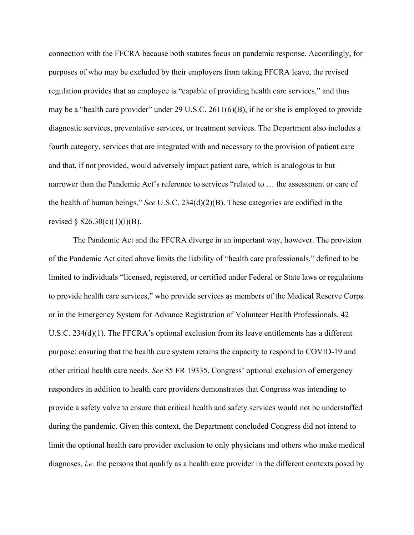connection with the FFCRA because both statutes focus on pandemic response. Accordingly, for purposes of who may be excluded by their employers from taking FFCRA leave, the revised regulation provides that an employee is "capable of providing health care services," and thus may be a "health care provider" under 29 U.S.C. 2611(6)(B), if he or she is employed to provide diagnostic services, preventative services, or treatment services. The Department also includes a fourth category, services that are integrated with and necessary to the provision of patient care and that, if not provided, would adversely impact patient care, which is analogous to but narrower than the Pandemic Act's reference to services "related to … the assessment or care of the health of human beings." *See* U.S.C. 234(d)(2)(B). These categories are codified in the revised § 826.30(c)(1)(i)(B).

The Pandemic Act and the FFCRA diverge in an important way, however. The provision of the Pandemic Act cited above limits the liability of "health care professionals," defined to be limited to individuals "licensed, registered, or certified under Federal or State laws or regulations to provide health care services," who provide services as members of the Medical Reserve Corps or in the Emergency System for Advance Registration of Volunteer Health Professionals. 42 U.S.C. 234(d)(1). The FFCRA's optional exclusion from its leave entitlements has a different purpose: ensuring that the health care system retains the capacity to respond to COVID-19 and other critical health care needs. *See* 85 FR 19335. Congress' optional exclusion of emergency responders in addition to health care providers demonstrates that Congress was intending to provide a safety valve to ensure that critical health and safety services would not be understaffed during the pandemic. Given this context, the Department concluded Congress did not intend to limit the optional health care provider exclusion to only physicians and others who make medical diagnoses, *i.e.* the persons that qualify as a health care provider in the different contexts posed by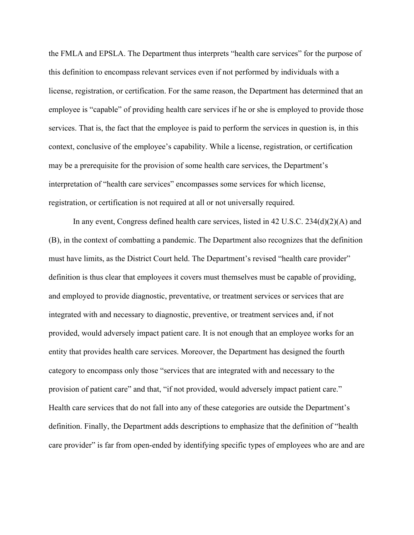the FMLA and EPSLA. The Department thus interprets "health care services" for the purpose of this definition to encompass relevant services even if not performed by individuals with a license, registration, or certification. For the same reason, the Department has determined that an employee is "capable" of providing health care services if he or she is employed to provide those services. That is, the fact that the employee is paid to perform the services in question is, in this context, conclusive of the employee's capability. While a license, registration, or certification may be a prerequisite for the provision of some health care services, the Department's interpretation of "health care services" encompasses some services for which license, registration, or certification is not required at all or not universally required.

In any event, Congress defined health care services, listed in 42 U.S.C. 234(d)(2)(A) and (B), in the context of combatting a pandemic. The Department also recognizes that the definition must have limits, as the District Court held. The Department's revised "health care provider" definition is thus clear that employees it covers must themselves must be capable of providing, and employed to provide diagnostic, preventative, or treatment services or services that are integrated with and necessary to diagnostic, preventive, or treatment services and, if not provided, would adversely impact patient care. It is not enough that an employee works for an entity that provides health care services. Moreover, the Department has designed the fourth category to encompass only those "services that are integrated with and necessary to the provision of patient care" and that, "if not provided, would adversely impact patient care." Health care services that do not fall into any of these categories are outside the Department's definition. Finally, the Department adds descriptions to emphasize that the definition of "health care provider" is far from open-ended by identifying specific types of employees who are and are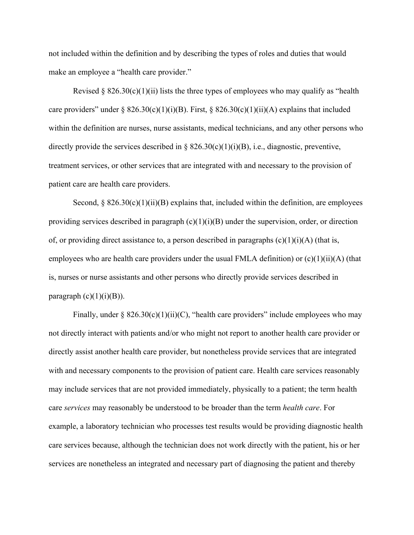not included within the definition and by describing the types of roles and duties that would make an employee a "health care provider."

Revised § 826.30(c)(1)(ii) lists the three types of employees who may qualify as "health care providers" under § 826.30(c)(1)(i)(B). First, § 826.30(c)(1)(ii)(A) explains that included within the definition are nurses, nurse assistants, medical technicians, and any other persons who directly provide the services described in  $\S$  826.30(c)(1)(i)(B), i.e., diagnostic, preventive, treatment services, or other services that are integrated with and necessary to the provision of patient care are health care providers.

Second,  $\S 826.30(c)(1)(ii)(B)$  explains that, included within the definition, are employees providing services described in paragraph  $(c)(1)(i)(B)$  under the supervision, order, or direction of, or providing direct assistance to, a person described in paragraphs  $(c)(1)(i)(A)$  (that is, employees who are health care providers under the usual FMLA definition) or  $(c)(1)(ii)(A)$  (that is, nurses or nurse assistants and other persons who directly provide services described in paragraph  $(c)(1)(i)(B)$ ).

Finally, under §  $826.30(c)(1)(ii)(C)$ , "health care providers" include employees who may not directly interact with patients and/or who might not report to another health care provider or directly assist another health care provider, but nonetheless provide services that are integrated with and necessary components to the provision of patient care. Health care services reasonably may include services that are not provided immediately, physically to a patient; the term health care *services* may reasonably be understood to be broader than the term *health care*. For example, a laboratory technician who processes test results would be providing diagnostic health care services because, although the technician does not work directly with the patient, his or her services are nonetheless an integrated and necessary part of diagnosing the patient and thereby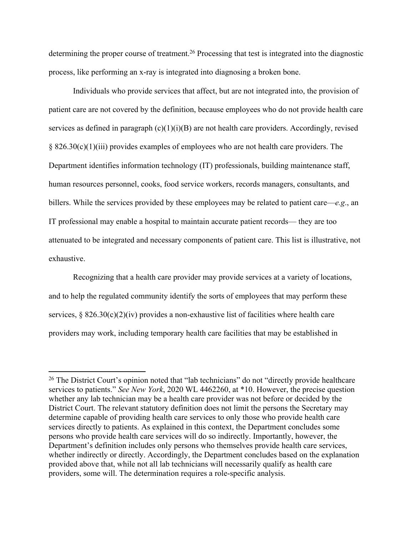determining the proper course of treatment.<sup>26</sup> Processing that test is integrated into the diagnostic process, like performing an x-ray is integrated into diagnosing a broken bone.

Individuals who provide services that affect, but are not integrated into, the provision of patient care are not covered by the definition, because employees who do not provide health care services as defined in paragraph  $(c)(1)(i)(B)$  are not health care providers. Accordingly, revised § 826.30(c)(1)(iii) provides examples of employees who are not health care providers. The Department identifies information technology (IT) professionals, building maintenance staff, human resources personnel, cooks, food service workers, records managers, consultants, and billers. While the services provided by these employees may be related to patient care—*e.g*., an IT professional may enable a hospital to maintain accurate patient records— they are too attenuated to be integrated and necessary components of patient care. This list is illustrative, not exhaustive.

Recognizing that a health care provider may provide services at a variety of locations, and to help the regulated community identify the sorts of employees that may perform these services,  $\S 826.30(c)(2)(iv)$  provides a non-exhaustive list of facilities where health care providers may work, including temporary health care facilities that may be established in

<sup>26</sup> The District Court's opinion noted that "lab technicians" do not "directly provide healthcare services to patients." *See New York*, 2020 WL 4462260, at \*10. However, the precise question whether any lab technician may be a health care provider was not before or decided by the District Court. The relevant statutory definition does not limit the persons the Secretary may determine capable of providing health care services to only those who provide health care services directly to patients. As explained in this context, the Department concludes some persons who provide health care services will do so indirectly. Importantly, however, the Department's definition includes only persons who themselves provide health care services, whether indirectly or directly. Accordingly, the Department concludes based on the explanation provided above that, while not all lab technicians will necessarily qualify as health care providers, some will. The determination requires a role-specific analysis.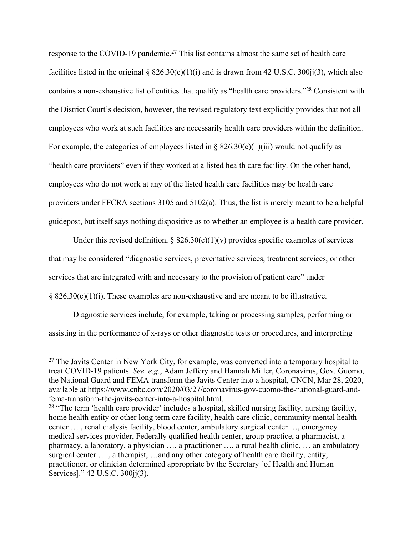response to the COVID-19 pandemic.<sup>27</sup> This list contains almost the same set of health care facilities listed in the original  $\S 826.30(c)(1)(i)$  and is drawn from 42 U.S.C. 300 $ii(3)$ , which also contains a non-exhaustive list of entities that qualify as "health care providers."<sup>28</sup> Consistent with the District Court's decision, however, the revised regulatory text explicitly provides that not all employees who work at such facilities are necessarily health care providers within the definition. For example, the categories of employees listed in §  $826.30(c)(1)(iii)$  would not qualify as "health care providers" even if they worked at a listed health care facility. On the other hand, employees who do not work at any of the listed health care facilities may be health care providers under FFCRA sections 3105 and 5102(a). Thus, the list is merely meant to be a helpful guidepost, but itself says nothing dispositive as to whether an employee is a health care provider.

Under this revised definition,  $\S$  826.30(c)(1)(v) provides specific examples of services that may be considered "diagnostic services, preventative services, treatment services, or other services that are integrated with and necessary to the provision of patient care" under § 826.30(c)(1)(i). These examples are non-exhaustive and are meant to be illustrative.

Diagnostic services include, for example, taking or processing samples, performing or assisting in the performance of x-rays or other diagnostic tests or procedures, and interpreting

<sup>&</sup>lt;sup>27</sup> The Javits Center in New York City, for example, was converted into a temporary hospital to treat COVID-19 patients. *See, e.g.*, Adam Jeffery and Hannah Miller, Coronavirus, Gov. Guomo, the National Guard and FEMA transform the Javits Center into a hospital, CNCN, Mar 28, 2020, available at https://www.cnbc.com/2020/03/27/coronavirus-gov-cuomo-the-national-guard-andfema-transform-the-javits-center-into-a-hospital.html.

<sup>&</sup>lt;sup>28</sup> "The term 'health care provider' includes a hospital, skilled nursing facility, nursing facility, home health entity or other long term care facility, health care clinic, community mental health center … , renal dialysis facility, blood center, ambulatory surgical center …, emergency medical services provider, Federally qualified health center, group practice, a pharmacist, a pharmacy, a laboratory, a physician …, a practitioner …, a rural health clinic, … an ambulatory surgical center ..., a therapist, …and any other category of health care facility, entity, practitioner, or clinician determined appropriate by the Secretary [of Health and Human Services]." 42 U.S.C. 300jj(3).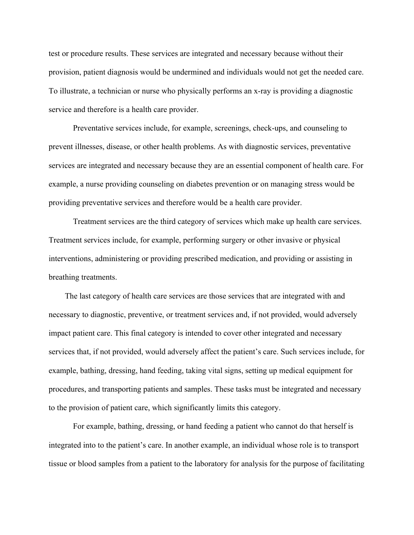test or procedure results. These services are integrated and necessary because without their provision, patient diagnosis would be undermined and individuals would not get the needed care. To illustrate, a technician or nurse who physically performs an x-ray is providing a diagnostic service and therefore is a health care provider.

Preventative services include, for example, screenings, check-ups, and counseling to prevent illnesses, disease, or other health problems. As with diagnostic services, preventative services are integrated and necessary because they are an essential component of health care. For example, a nurse providing counseling on diabetes prevention or on managing stress would be providing preventative services and therefore would be a health care provider.

Treatment services are the third category of services which make up health care services. Treatment services include, for example, performing surgery or other invasive or physical interventions, administering or providing prescribed medication, and providing or assisting in breathing treatments.

The last category of health care services are those services that are integrated with and necessary to diagnostic, preventive, or treatment services and, if not provided, would adversely impact patient care. This final category is intended to cover other integrated and necessary services that, if not provided, would adversely affect the patient's care. Such services include, for example, bathing, dressing, hand feeding, taking vital signs, setting up medical equipment for procedures, and transporting patients and samples. These tasks must be integrated and necessary to the provision of patient care, which significantly limits this category.

For example, bathing, dressing, or hand feeding a patient who cannot do that herself is integrated into to the patient's care. In another example, an individual whose role is to transport tissue or blood samples from a patient to the laboratory for analysis for the purpose of facilitating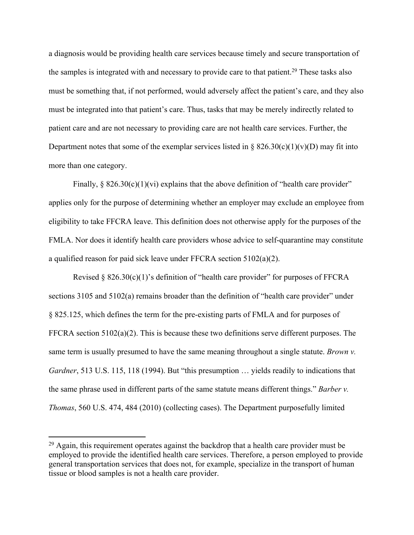a diagnosis would be providing health care services because timely and secure transportation of the samples is integrated with and necessary to provide care to that patient.<sup>29</sup> These tasks also must be something that, if not performed, would adversely affect the patient's care, and they also must be integrated into that patient's care. Thus, tasks that may be merely indirectly related to patient care and are not necessary to providing care are not health care services. Further, the Department notes that some of the exemplar services listed in  $\S 826.30(c)(1)(v)(D)$  may fit into more than one category.

Finally,  $\S 826.30(c)(1)(vi)$  explains that the above definition of "health care provider" applies only for the purpose of determining whether an employer may exclude an employee from eligibility to take FFCRA leave. This definition does not otherwise apply for the purposes of the FMLA. Nor does it identify health care providers whose advice to self-quarantine may constitute a qualified reason for paid sick leave under FFCRA section 5102(a)(2).

Revised § 826.30(c)(1)'s definition of "health care provider" for purposes of FFCRA sections 3105 and 5102(a) remains broader than the definition of "health care provider" under § 825.125, which defines the term for the pre-existing parts of FMLA and for purposes of FFCRA section  $5102(a)(2)$ . This is because these two definitions serve different purposes. The same term is usually presumed to have the same meaning throughout a single statute. *Brown v. Gardner*, 513 U.S. 115, 118 (1994). But "this presumption … yields readily to indications that the same phrase used in different parts of the same statute means different things." *Barber v. Thomas*, 560 U.S. 474, 484 (2010) (collecting cases). The Department purposefully limited

 $29$  Again, this requirement operates against the backdrop that a health care provider must be employed to provide the identified health care services. Therefore, a person employed to provide general transportation services that does not, for example, specialize in the transport of human tissue or blood samples is not a health care provider.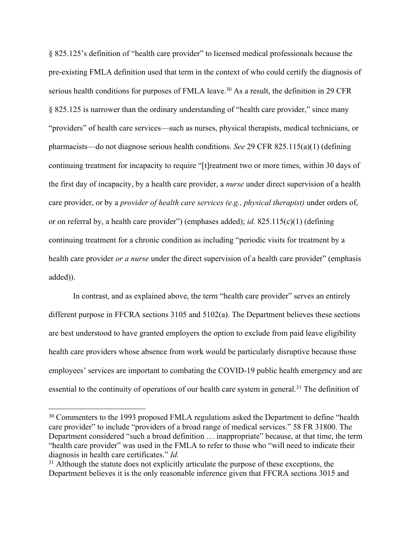§ 825.125's definition of "health care provider" to licensed medical professionals because the pre-existing FMLA definition used that term in the context of who could certify the diagnosis of serious health conditions for purposes of FMLA leave.<sup>30</sup> As a result, the definition in 29 CFR § 825.125 is narrower than the ordinary understanding of "health care provider," since many "providers" of health care services—such as nurses, physical therapists, medical technicians, or pharmacists—do not diagnose serious health conditions. *See* 29 CFR 825.115(a)(1) (defining continuing treatment for incapacity to require "[t]reatment two or more times, within 30 days of the first day of incapacity, by a health care provider, a *nurse* under direct supervision of a health care provider, or by a *provider of health care services (e.g., physical therapist)* under orders of, or on referral by, a health care provider") (emphases added); *id.* 825.115(c)(1) (defining continuing treatment for a chronic condition as including "periodic visits for treatment by a health care provider *or a nurse* under the direct supervision of a health care provider" (emphasis added)).

In contrast, and as explained above, the term "health care provider" serves an entirely different purpose in FFCRA sections 3105 and 5102(a). The Department believes these sections are best understood to have granted employers the option to exclude from paid leave eligibility health care providers whose absence from work would be particularly disruptive because those employees' services are important to combating the COVID-19 public health emergency and are essential to the continuity of operations of our health care system in general.<sup>31</sup> The definition of

<sup>&</sup>lt;sup>30</sup> Commenters to the 1993 proposed FMLA regulations asked the Department to define "health" care provider" to include "providers of a broad range of medical services." 58 FR 31800. The Department considered "such a broad definition … inappropriate" because, at that time, the term "health care provider" was used in the FMLA to refer to those who "will need to indicate their diagnosis in health care certificates." *Id.*

<sup>&</sup>lt;sup>31</sup> Although the statute does not explicitly articulate the purpose of these exceptions, the Department believes it is the only reasonable inference given that FFCRA sections 3015 and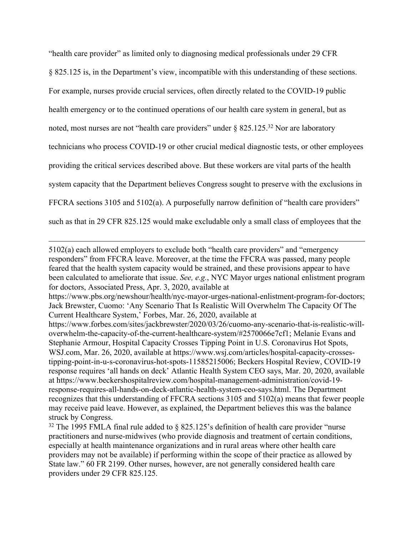"health care provider" as limited only to diagnosing medical professionals under 29 CFR § 825.125 is, in the Department's view, incompatible with this understanding of these sections. For example, nurses provide crucial services, often directly related to the COVID-19 public health emergency or to the continued operations of our health care system in general, but as noted, most nurses are not "health care providers" under § 825.125.<sup>32</sup> Nor are laboratory technicians who process COVID-19 or other crucial medical diagnostic tests, or other employees providing the critical services described above. But these workers are vital parts of the health system capacity that the Department believes Congress sought to preserve with the exclusions in FFCRA sections 3105 and 5102(a). A purposefully narrow definition of "health care providers" such as that in 29 CFR 825.125 would make excludable only a small class of employees that the

<sup>5102(</sup>a) each allowed employers to exclude both "health care providers" and "emergency responders" from FFCRA leave. Moreover, at the time the FFCRA was passed, many people feared that the health system capacity would be strained, and these provisions appear to have been calculated to ameliorate that issue. *See, e.g.*, NYC Mayor urges national enlistment program for doctors, Associated Press, Apr. 3, 2020, available at https://www.pbs.org/newshour/health/nyc-mayor-urges-national-enlistment-program-for-doctors; Jack Brewster, Cuomo: 'Any Scenario That Is Realistic Will Overwhelm The Capacity Of The Current Healthcare System,' Forbes, Mar. 26, 2020, available at https://www.forbes.com/sites/jackbrewster/2020/03/26/cuomo-any-scenario-that-is-realistic-willoverwhelm-the-capacity-of-the-current-healthcare-system/#2570066e7cf1; Melanie Evans and Stephanie Armour, Hospital Capacity Crosses Tipping Point in U.S. Coronavirus Hot Spots, WSJ.com, Mar. 26, 2020, available at https://www.wsj.com/articles/hospital-capacity-crossestipping-point-in-u-s-coronavirus-hot-spots-11585215006; Beckers Hospital Review, COVID-19 response requires 'all hands on deck' Atlantic Health System CEO says, Mar. 20, 2020, available at https://www.beckershospitalreview.com/hospital-management-administration/covid-19 response-requires-all-hands-on-deck-atlantic-health-system-ceo-says.html. The Department recognizes that this understanding of FFCRA sections 3105 and 5102(a) means that fewer people may receive paid leave. However, as explained, the Department believes this was the balance struck by Congress.

 $32$  The 1995 FMLA final rule added to § 825.125's definition of health care provider "nurse" practitioners and nurse-midwives (who provide diagnosis and treatment of certain conditions, especially at health maintenance organizations and in rural areas where other health care providers may not be available) if performing within the scope of their practice as allowed by State law." 60 FR 2199. Other nurses, however, are not generally considered health care providers under 29 CFR 825.125.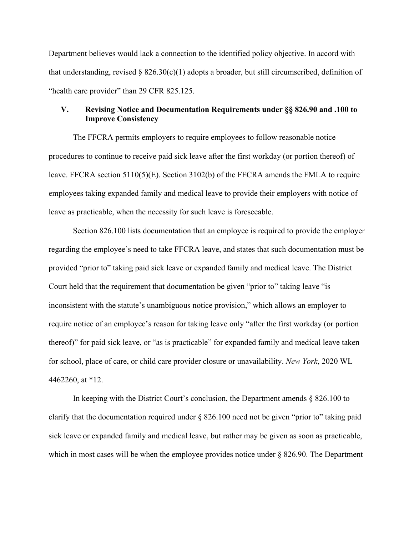Department believes would lack a connection to the identified policy objective. In accord with that understanding, revised  $\S$  826.30(c)(1) adopts a broader, but still circumscribed, definition of "health care provider" than 29 CFR 825.125.

# **V. Revising Notice and Documentation Requirements under §§ 826.90 and .100 to Improve Consistency**

The FFCRA permits employers to require employees to follow reasonable notice procedures to continue to receive paid sick leave after the first workday (or portion thereof) of leave. FFCRA section 5110(5)(E). Section 3102(b) of the FFCRA amends the FMLA to require employees taking expanded family and medical leave to provide their employers with notice of leave as practicable, when the necessity for such leave is foreseeable.

Section 826.100 lists documentation that an employee is required to provide the employer regarding the employee's need to take FFCRA leave, and states that such documentation must be provided "prior to" taking paid sick leave or expanded family and medical leave. The District Court held that the requirement that documentation be given "prior to" taking leave "is inconsistent with the statute's unambiguous notice provision," which allows an employer to require notice of an employee's reason for taking leave only "after the first workday (or portion thereof)" for paid sick leave, or "as is practicable" for expanded family and medical leave taken for school, place of care, or child care provider closure or unavailability. *New York*, 2020 WL 4462260, at \*12.

In keeping with the District Court's conclusion, the Department amends § 826.100 to clarify that the documentation required under § 826.100 need not be given "prior to" taking paid sick leave or expanded family and medical leave, but rather may be given as soon as practicable, which in most cases will be when the employee provides notice under  $\S$  826.90. The Department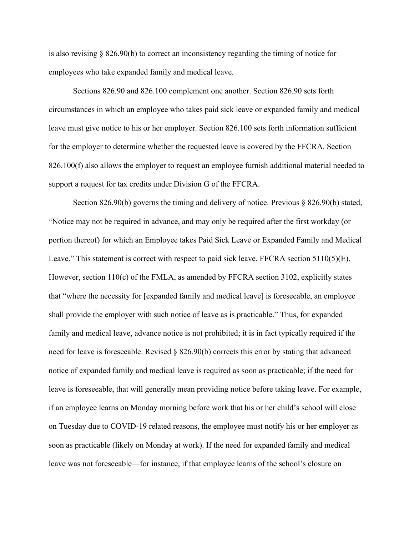is also revising § 826.90(b) to correct an inconsistency regarding the timing of notice for employees who take expanded family and medical leave.

Sections 826.90 and 826.100 complement one another. Section 826.90 sets forth circumstances in which an employee who takes paid sick leave or expanded family and medical leave must give notice to his or her employer. Section 826.100 sets forth information sufficient for the employer to determine whether the requested leave is covered by the FFCRA. Section 826.100(f) also allows the employer to request an employee furnish additional material needed to support a request for tax credits under Division G of the FFCRA.

Section 826.90(b) governs the timing and delivery of notice. Previous § 826.90(b) stated, "Notice may not be required in advance, and may only be required after the first workday (or portion thereof) for which an Employee takes Paid Sick Leave or Expanded Family and Medical Leave." This statement is correct with respect to paid sick leave. FFCRA section  $5110(5)(E)$ . However, section 110(c) of the FMLA, as amended by FFCRA section 3102, explicitly states that "where the necessity for [expanded family and medical leave] is foreseeable, an employee shall provide the employer with such notice of leave as is practicable." Thus, for expanded family and medical leave, advance notice is not prohibited; it is in fact typically required if the need for leave is foreseeable. Revised  $\S$  826.90(b) corrects this error by stating that advanced notice of expanded family and medical leave is required as soon as practicable; if the need for leave is foreseeable, that will generally mean providing notice before taking leave. For example, if an employee learns on Monday morning before work that his or her child's school will close on Tuesday due to COVID-19 related reasons, the employee must notify his or her employer as soon as practicable (likely on Monday at work). If the need for expanded family and medical leave was not foreseeable—for instance, if that employee learns of the school's closure on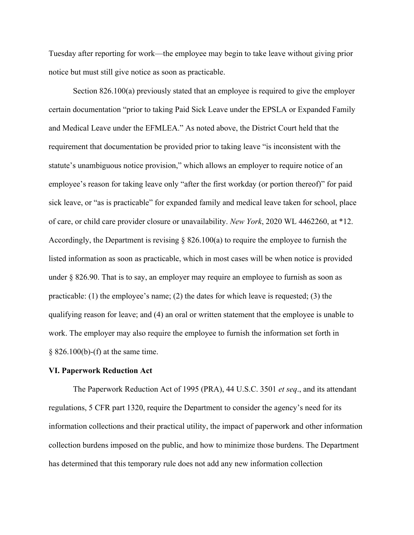Tuesday after reporting for work—the employee may begin to take leave without giving prior notice but must still give notice as soon as practicable.

Section 826.100(a) previously stated that an employee is required to give the employer certain documentation "prior to taking Paid Sick Leave under the EPSLA or Expanded Family and Medical Leave under the EFMLEA." As noted above, the District Court held that the requirement that documentation be provided prior to taking leave "is inconsistent with the statute's unambiguous notice provision," which allows an employer to require notice of an employee's reason for taking leave only "after the first workday (or portion thereof)" for paid sick leave, or "as is practicable" for expanded family and medical leave taken for school, place of care, or child care provider closure or unavailability. *New York*, 2020 WL 4462260, at \*12. Accordingly, the Department is revising § 826.100(a) to require the employee to furnish the listed information as soon as practicable, which in most cases will be when notice is provided under § 826.90. That is to say, an employer may require an employee to furnish as soon as practicable: (1) the employee's name; (2) the dates for which leave is requested; (3) the qualifying reason for leave; and (4) an oral or written statement that the employee is unable to work. The employer may also require the employee to furnish the information set forth in § 826.100(b)-(f) at the same time.

## **VI. Paperwork Reduction Act**

The Paperwork Reduction Act of 1995 (PRA), 44 U.S.C. 3501 *et seq*., and its attendant regulations, 5 CFR part 1320, require the Department to consider the agency's need for its information collections and their practical utility, the impact of paperwork and other information collection burdens imposed on the public, and how to minimize those burdens. The Department has determined that this temporary rule does not add any new information collection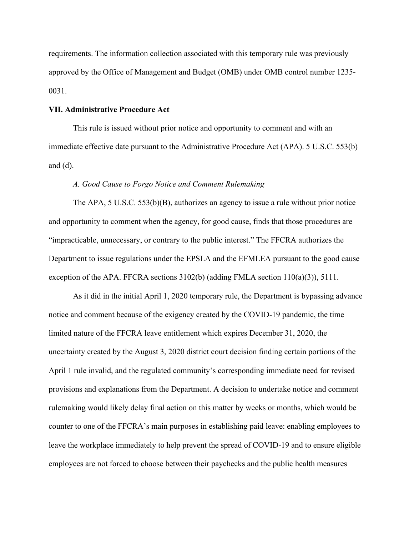requirements. The information collection associated with this temporary rule was previously approved by the Office of Management and Budget (OMB) under OMB control number 1235- 0031.

#### **VII. Administrative Procedure Act**

This rule is issued without prior notice and opportunity to comment and with an immediate effective date pursuant to the Administrative Procedure Act (APA). 5 U.S.C. 553(b) and  $(d)$ .

#### *A. Good Cause to Forgo Notice and Comment Rulemaking*

The APA, 5 U.S.C. 553(b)(B), authorizes an agency to issue a rule without prior notice and opportunity to comment when the agency, for good cause, finds that those procedures are "impracticable, unnecessary, or contrary to the public interest." The FFCRA authorizes the Department to issue regulations under the EPSLA and the EFMLEA pursuant to the good cause exception of the APA. FFCRA sections 3102(b) (adding FMLA section 110(a)(3)), 5111.

As it did in the initial April 1, 2020 temporary rule, the Department is bypassing advance notice and comment because of the exigency created by the COVID-19 pandemic, the time limited nature of the FFCRA leave entitlement which expires December 31, 2020, the uncertainty created by the August 3, 2020 district court decision finding certain portions of the April 1 rule invalid, and the regulated community's corresponding immediate need for revised provisions and explanations from the Department. A decision to undertake notice and comment rulemaking would likely delay final action on this matter by weeks or months, which would be counter to one of the FFCRA's main purposes in establishing paid leave: enabling employees to leave the workplace immediately to help prevent the spread of COVID-19 and to ensure eligible employees are not forced to choose between their paychecks and the public health measures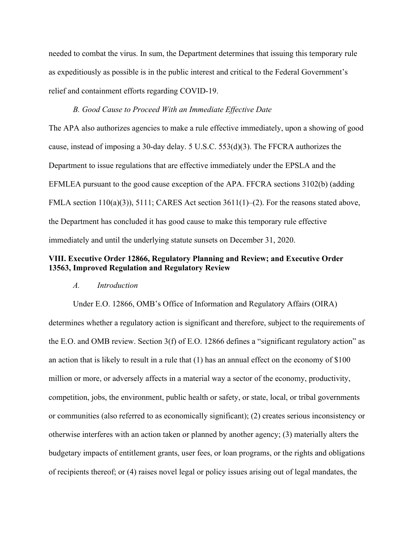needed to combat the virus. In sum, the Department determines that issuing this temporary rule as expeditiously as possible is in the public interest and critical to the Federal Government's relief and containment efforts regarding COVID-19.

## *B. Good Cause to Proceed With an Immediate Effective Date*

The APA also authorizes agencies to make a rule effective immediately, upon a showing of good cause, instead of imposing a 30-day delay. 5 U.S.C. 553(d)(3). The FFCRA authorizes the Department to issue regulations that are effective immediately under the EPSLA and the EFMLEA pursuant to the good cause exception of the APA. FFCRA sections 3102(b) (adding FMLA section 110(a)(3)), 5111; CARES Act section 3611(1)–(2). For the reasons stated above, the Department has concluded it has good cause to make this temporary rule effective immediately and until the underlying statute sunsets on December 31, 2020.

# **VIII. Executive Order 12866, Regulatory Planning and Review; and Executive Order 13563, Improved Regulation and Regulatory Review**

## *A. Introduction*

Under E.O. 12866, OMB's Office of Information and Regulatory Affairs (OIRA) determines whether a regulatory action is significant and therefore, subject to the requirements of the E.O. and OMB review. Section 3(f) of E.O. 12866 defines a "significant regulatory action" as an action that is likely to result in a rule that (1) has an annual effect on the economy of \$100 million or more, or adversely affects in a material way a sector of the economy, productivity, competition, jobs, the environment, public health or safety, or state, local, or tribal governments or communities (also referred to as economically significant); (2) creates serious inconsistency or otherwise interferes with an action taken or planned by another agency; (3) materially alters the budgetary impacts of entitlement grants, user fees, or loan programs, or the rights and obligations of recipients thereof; or (4) raises novel legal or policy issues arising out of legal mandates, the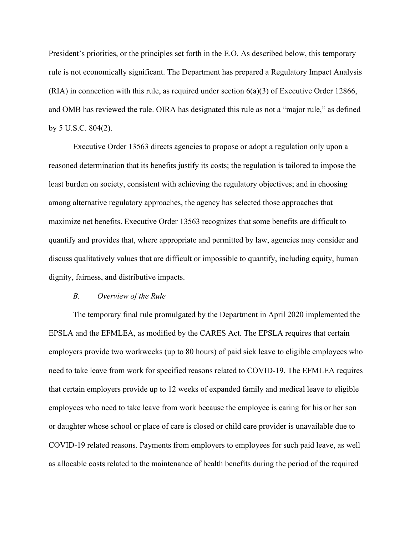President's priorities, or the principles set forth in the E.O. As described below, this temporary rule is not economically significant. The Department has prepared a Regulatory Impact Analysis  $(RIA)$  in connection with this rule, as required under section  $6(a)(3)$  of Executive Order 12866, and OMB has reviewed the rule. OIRA has designated this rule as not a "major rule," as defined by 5 U.S.C. 804(2).

Executive Order 13563 directs agencies to propose or adopt a regulation only upon a reasoned determination that its benefits justify its costs; the regulation is tailored to impose the least burden on society, consistent with achieving the regulatory objectives; and in choosing among alternative regulatory approaches, the agency has selected those approaches that maximize net benefits. Executive Order 13563 recognizes that some benefits are difficult to quantify and provides that, where appropriate and permitted by law, agencies may consider and discuss qualitatively values that are difficult or impossible to quantify, including equity, human dignity, fairness, and distributive impacts.

## *B. Overview of the Rule*

The temporary final rule promulgated by the Department in April 2020 implemented the EPSLA and the EFMLEA, as modified by the CARES Act. The EPSLA requires that certain employers provide two workweeks (up to 80 hours) of paid sick leave to eligible employees who need to take leave from work for specified reasons related to COVID-19. The EFMLEA requires that certain employers provide up to 12 weeks of expanded family and medical leave to eligible employees who need to take leave from work because the employee is caring for his or her son or daughter whose school or place of care is closed or child care provider is unavailable due to COVID-19 related reasons. Payments from employers to employees for such paid leave, as well as allocable costs related to the maintenance of health benefits during the period of the required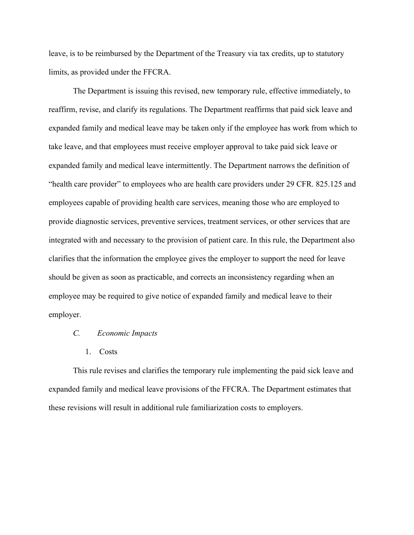leave, is to be reimbursed by the Department of the Treasury via tax credits, up to statutory limits, as provided under the FFCRA.

The Department is issuing this revised, new temporary rule, effective immediately, to reaffirm, revise, and clarify its regulations. The Department reaffirms that paid sick leave and expanded family and medical leave may be taken only if the employee has work from which to take leave, and that employees must receive employer approval to take paid sick leave or expanded family and medical leave intermittently. The Department narrows the definition of "health care provider" to employees who are health care providers under 29 CFR. 825.125 and employees capable of providing health care services, meaning those who are employed to provide diagnostic services, preventive services, treatment services, or other services that are integrated with and necessary to the provision of patient care. In this rule, the Department also clarifies that the information the employee gives the employer to support the need for leave should be given as soon as practicable, and corrects an inconsistency regarding when an employee may be required to give notice of expanded family and medical leave to their employer.

## *C. Economic Impacts*

#### 1. Costs

This rule revises and clarifies the temporary rule implementing the paid sick leave and expanded family and medical leave provisions of the FFCRA. The Department estimates that these revisions will result in additional rule familiarization costs to employers.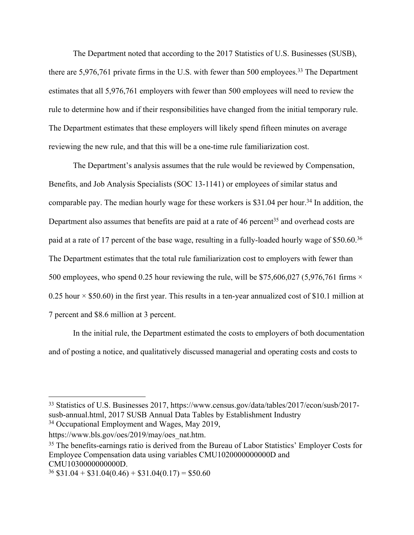The Department noted that according to the 2017 Statistics of U.S. Businesses (SUSB), there are 5,976,761 private firms in the U.S. with fewer than 500 employees.<sup>33</sup> The Department estimates that all 5,976,761 employers with fewer than 500 employees will need to review the rule to determine how and if their responsibilities have changed from the initial temporary rule. The Department estimates that these employers will likely spend fifteen minutes on average reviewing the new rule, and that this will be a one-time rule familiarization cost.

The Department's analysis assumes that the rule would be reviewed by Compensation, Benefits, and Job Analysis Specialists (SOC 13-1141) or employees of similar status and comparable pay. The median hourly wage for these workers is  $$31.04$  per hour.<sup>34</sup> In addition, the Department also assumes that benefits are paid at a rate of 46 percent<sup>35</sup> and overhead costs are paid at a rate of 17 percent of the base wage, resulting in a fully-loaded hourly wage of \$50.60.<sup>36</sup> The Department estimates that the total rule familiarization cost to employers with fewer than 500 employees, who spend 0.25 hour reviewing the rule, will be \$75,606,027 (5,976,761 firms  $\times$ 0.25 hour  $\times$  \$50.60) in the first year. This results in a ten-year annualized cost of \$10.1 million at 7 percent and \$8.6 million at 3 percent.

In the initial rule, the Department estimated the costs to employers of both documentation and of posting a notice, and qualitatively discussed managerial and operating costs and costs to

<sup>33</sup> Statistics of U.S. Businesses 2017, https://www.census.gov/data/tables/2017/econ/susb/2017 susb-annual.html, 2017 SUSB Annual Data Tables by Establishment Industry <sup>34</sup> Occupational Employment and Wages, May 2019,

https://www.bls.gov/oes/2019/may/oes\_nat.htm.

<sup>&</sup>lt;sup>35</sup> The benefits-earnings ratio is derived from the Bureau of Labor Statistics' Employer Costs for Employee Compensation data using variables CMU1020000000000D and CMU1030000000000D.

 $36$  \$31.04 + \$31.04(0.46) + \$31.04(0.17) = \$50.60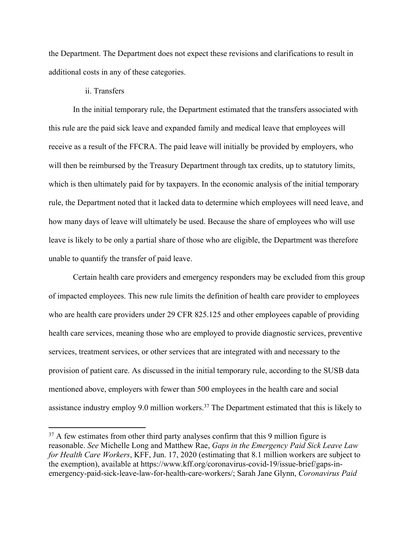the Department. The Department does not expect these revisions and clarifications to result in additional costs in any of these categories.

## ii. Transfers

In the initial temporary rule, the Department estimated that the transfers associated with this rule are the paid sick leave and expanded family and medical leave that employees will receive as a result of the FFCRA. The paid leave will initially be provided by employers, who will then be reimbursed by the Treasury Department through tax credits, up to statutory limits, which is then ultimately paid for by taxpayers. In the economic analysis of the initial temporary rule, the Department noted that it lacked data to determine which employees will need leave, and how many days of leave will ultimately be used. Because the share of employees who will use leave is likely to be only a partial share of those who are eligible, the Department was therefore unable to quantify the transfer of paid leave.

Certain health care providers and emergency responders may be excluded from this group of impacted employees. This new rule limits the definition of health care provider to employees who are health care providers under 29 CFR 825.125 and other employees capable of providing health care services, meaning those who are employed to provide diagnostic services, preventive services, treatment services, or other services that are integrated with and necessary to the provision of patient care. As discussed in the initial temporary rule, according to the SUSB data mentioned above, employers with fewer than 500 employees in the health care and social assistance industry employ 9.0 million workers.<sup>37</sup> The Department estimated that this is likely to

<sup>&</sup>lt;sup>37</sup> A few estimates from other third party analyses confirm that this 9 million figure is reasonable. *See* Michelle Long and Matthew Rae, *Gaps in the Emergency Paid Sick Leave Law for Health Care Workers*, KFF, Jun. 17, 2020 (estimating that 8.1 million workers are subject to the exemption), available at https://www.kff.org/coronavirus-covid-19/issue-brief/gaps-inemergency-paid-sick-leave-law-for-health-care-workers/; Sarah Jane Glynn, *Coronavirus Paid*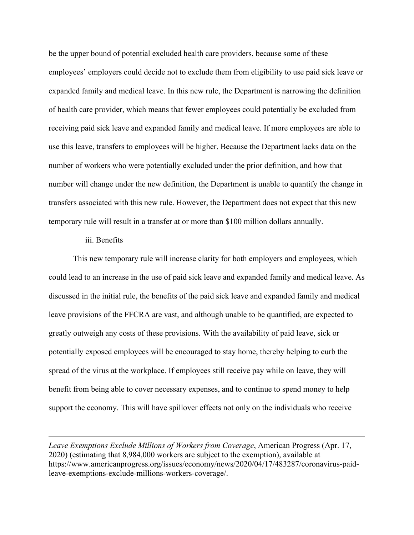be the upper bound of potential excluded health care providers, because some of these employees' employers could decide not to exclude them from eligibility to use paid sick leave or expanded family and medical leave. In this new rule, the Department is narrowing the definition of health care provider, which means that fewer employees could potentially be excluded from receiving paid sick leave and expanded family and medical leave. If more employees are able to use this leave, transfers to employees will be higher. Because the Department lacks data on the number of workers who were potentially excluded under the prior definition, and how that number will change under the new definition, the Department is unable to quantify the change in transfers associated with this new rule. However, the Department does not expect that this new temporary rule will result in a transfer at or more than \$100 million dollars annually.

#### iii. Benefits

This new temporary rule will increase clarity for both employers and employees, which could lead to an increase in the use of paid sick leave and expanded family and medical leave. As discussed in the initial rule, the benefits of the paid sick leave and expanded family and medical leave provisions of the FFCRA are vast, and although unable to be quantified, are expected to greatly outweigh any costs of these provisions. With the availability of paid leave, sick or potentially exposed employees will be encouraged to stay home, thereby helping to curb the spread of the virus at the workplace. If employees still receive pay while on leave, they will benefit from being able to cover necessary expenses, and to continue to spend money to help support the economy. This will have spillover effects not only on the individuals who receive

*Leave Exemptions Exclude Millions of Workers from Coverage*, American Progress (Apr. 17, 2020) (estimating that 8,984,000 workers are subject to the exemption), available at https://www.americanprogress.org/issues/economy/news/2020/04/17/483287/coronavirus-paidleave-exemptions-exclude-millions-workers-coverage/.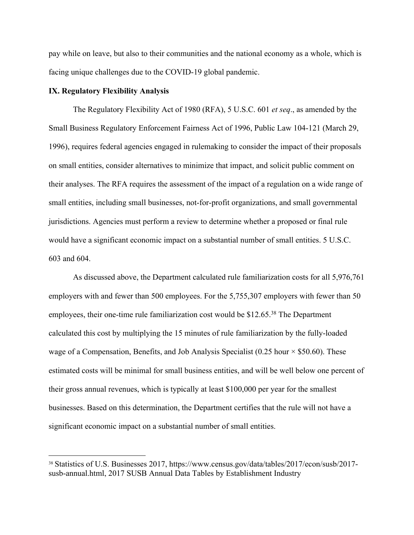pay while on leave, but also to their communities and the national economy as a whole, which is facing unique challenges due to the COVID-19 global pandemic.

## **IX. Regulatory Flexibility Analysis**

The Regulatory Flexibility Act of 1980 (RFA), 5 U.S.C. 601 *et seq*., as amended by the Small Business Regulatory Enforcement Fairness Act of 1996, Public Law 104-121 (March 29, 1996), requires federal agencies engaged in rulemaking to consider the impact of their proposals on small entities, consider alternatives to minimize that impact, and solicit public comment on their analyses. The RFA requires the assessment of the impact of a regulation on a wide range of small entities, including small businesses, not-for-profit organizations, and small governmental jurisdictions. Agencies must perform a review to determine whether a proposed or final rule would have a significant economic impact on a substantial number of small entities. 5 U.S.C. 603 and 604.

As discussed above, the Department calculated rule familiarization costs for all 5,976,761 employers with and fewer than 500 employees. For the 5,755,307 employers with fewer than 50 employees, their one-time rule familiarization cost would be \$12.65.<sup>38</sup> The Department calculated this cost by multiplying the 15 minutes of rule familiarization by the fully-loaded wage of a Compensation, Benefits, and Job Analysis Specialist (0.25 hour  $\times$  \$50.60). These estimated costs will be minimal for small business entities, and will be well below one percent of their gross annual revenues, which is typically at least \$100,000 per year for the smallest businesses. Based on this determination, the Department certifies that the rule will not have a significant economic impact on a substantial number of small entities.

<sup>38</sup> Statistics of U.S. Businesses 2017, https://www.census.gov/data/tables/2017/econ/susb/2017 susb-annual.html, 2017 SUSB Annual Data Tables by Establishment Industry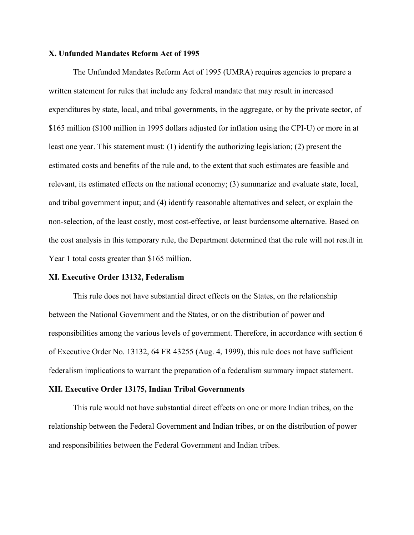#### **X. Unfunded Mandates Reform Act of 1995**

The Unfunded Mandates Reform Act of 1995 (UMRA) requires agencies to prepare a written statement for rules that include any federal mandate that may result in increased expenditures by state, local, and tribal governments, in the aggregate, or by the private sector, of \$165 million (\$100 million in 1995 dollars adjusted for inflation using the CPI-U) or more in at least one year. This statement must: (1) identify the authorizing legislation; (2) present the estimated costs and benefits of the rule and, to the extent that such estimates are feasible and relevant, its estimated effects on the national economy; (3) summarize and evaluate state, local, and tribal government input; and (4) identify reasonable alternatives and select, or explain the non-selection, of the least costly, most cost-effective, or least burdensome alternative. Based on the cost analysis in this temporary rule, the Department determined that the rule will not result in Year 1 total costs greater than \$165 million.

#### **XI. Executive Order 13132, Federalism**

This rule does not have substantial direct effects on the States, on the relationship between the National Government and the States, or on the distribution of power and responsibilities among the various levels of government. Therefore, in accordance with section 6 of Executive Order No. 13132, 64 FR 43255 (Aug. 4, 1999), this rule does not have sufficient federalism implications to warrant the preparation of a federalism summary impact statement.

#### **XII. Executive Order 13175, Indian Tribal Governments**

This rule would not have substantial direct effects on one or more Indian tribes, on the relationship between the Federal Government and Indian tribes, or on the distribution of power and responsibilities between the Federal Government and Indian tribes.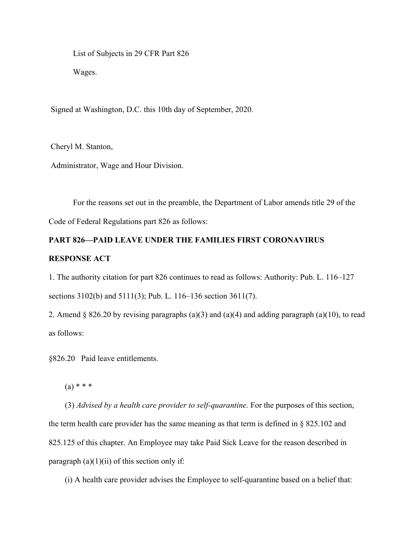List of Subjects in 29 CFR Part 826 Wages.

Signed at Washington, D.C. this 10th day of September, 2020.

Cheryl M. Stanton,

Administrator, Wage and Hour Division.

For the reasons set out in the preamble, the Department of Labor amends title 29 of the Code of Federal Regulations part 826 as follows:

# **PART 826—PAID LEAVE UNDER THE FAMILIES FIRST CORONAVIRUS RESPONSE ACT**

1. The authority citation for part 826 continues to read as follows: Authority: Pub. L. 116–127 sections 3102(b) and 5111(3); Pub. L. 116–136 section 3611(7).

2. Amend § 826.20 by revising paragraphs (a)(3) and (a)(4) and adding paragraph (a)(10), to read as follows:

§826.20 Paid leave entitlements.

 $(a) * * * *$ 

(3) *Advised by a health care provider to self-quarantine.* For the purposes of this section, the term health care provider has the same meaning as that term is defined in § 825.102 and 825.125 of this chapter. An Employee may take Paid Sick Leave for the reason described in paragraph  $(a)(1)(ii)$  of this section only if:

(i) A health care provider advises the Employee to self-quarantine based on a belief that: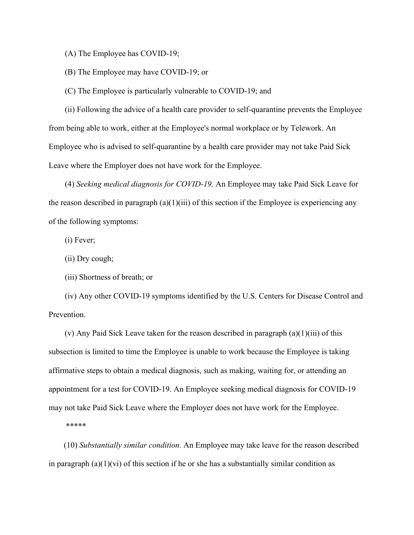(A) The Employee has COVID-19;

(B) The Employee may have COVID-19; or

(C) The Employee is particularly vulnerable to COVID-19; and

(ii) Following the advice of a health care provider to self-quarantine prevents the Employee from being able to work, either at the Employee's normal workplace or by Telework. An Employee who is advised to self-quarantine by a health care provider may not take Paid Sick Leave where the Employer does not have work for the Employee.

(4) *Seeking medical diagnosis for COVID-19.* An Employee may take Paid Sick Leave for the reason described in paragraph  $(a)(1)(iii)$  of this section if the Employee is experiencing any of the following symptoms:

(i) Fever;

(ii) Dry cough;

(iii) Shortness of breath; or

(iv) Any other COVID-19 symptoms identified by the U.S. Centers for Disease Control and Prevention.

(v) Any Paid Sick Leave taken for the reason described in paragraph (a)(1)(iii) of this subsection is limited to time the Employee is unable to work because the Employee is taking affirmative steps to obtain a medical diagnosis, such as making, waiting for, or attending an appointment for a test for COVID-19. An Employee seeking medical diagnosis for COVID-19 may not take Paid Sick Leave where the Employer does not have work for the Employee.

\*\*\*\*\*

(10) *Substantially similar condition.* An Employee may take leave for the reason described in paragraph  $(a)(1)(vi)$  of this section if he or she has a substantially similar condition as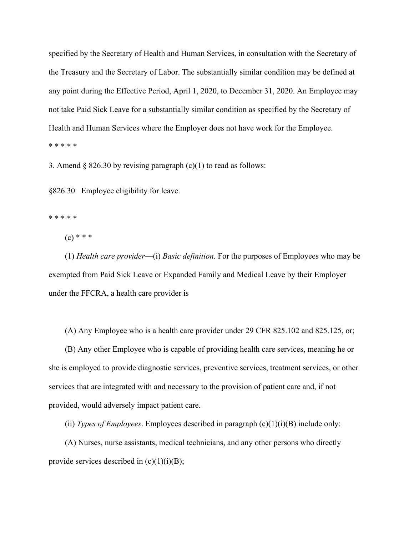specified by the Secretary of Health and Human Services, in consultation with the Secretary of the Treasury and the Secretary of Labor. The substantially similar condition may be defined at any point during the Effective Period, April 1, 2020, to December 31, 2020. An Employee may not take Paid Sick Leave for a substantially similar condition as specified by the Secretary of Health and Human Services where the Employer does not have work for the Employee. \* \* \* \* \*

3. Amend  $\S$  826.30 by revising paragraph (c)(1) to read as follows:

§826.30 Employee eligibility for leave.

\* \* \* \* \*

 $(c) * * *$ 

(1) *Health care provider*—(i) *Basic definition.* For the purposes of Employees who may be exempted from Paid Sick Leave or Expanded Family and Medical Leave by their Employer under the FFCRA, a health care provider is

(A) Any Employee who is a health care provider under 29 CFR 825.102 and 825.125, or;

(B) Any other Employee who is capable of providing health care services, meaning he or she is employed to provide diagnostic services, preventive services, treatment services, or other services that are integrated with and necessary to the provision of patient care and, if not provided, would adversely impact patient care.

(ii) *Types of Employees*. Employees described in paragraph (c)(1)(i)(B) include only:

(A) Nurses, nurse assistants, medical technicians, and any other persons who directly provide services described in  $(c)(1)(i)(B)$ ;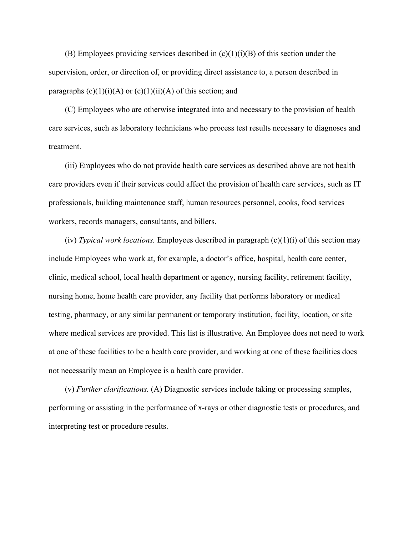(B) Employees providing services described in  $(c)(1)(i)(B)$  of this section under the supervision, order, or direction of, or providing direct assistance to, a person described in paragraphs  $(c)(1)(i)(A)$  or  $(c)(1)(ii)(A)$  of this section; and

(C) Employees who are otherwise integrated into and necessary to the provision of health care services, such as laboratory technicians who process test results necessary to diagnoses and treatment.

(iii) Employees who do not provide health care services as described above are not health care providers even if their services could affect the provision of health care services, such as IT professionals, building maintenance staff, human resources personnel, cooks, food services workers, records managers, consultants, and billers.

(iv) *Typical work locations.* Employees described in paragraph (c)(1)(i) of this section may include Employees who work at, for example, a doctor's office, hospital, health care center, clinic, medical school, local health department or agency, nursing facility, retirement facility, nursing home, home health care provider, any facility that performs laboratory or medical testing, pharmacy, or any similar permanent or temporary institution, facility, location, or site where medical services are provided. This list is illustrative. An Employee does not need to work at one of these facilities to be a health care provider, and working at one of these facilities does not necessarily mean an Employee is a health care provider.

(v) *Further clarifications.* (A) Diagnostic services include taking or processing samples, performing or assisting in the performance of x-rays or other diagnostic tests or procedures, and interpreting test or procedure results.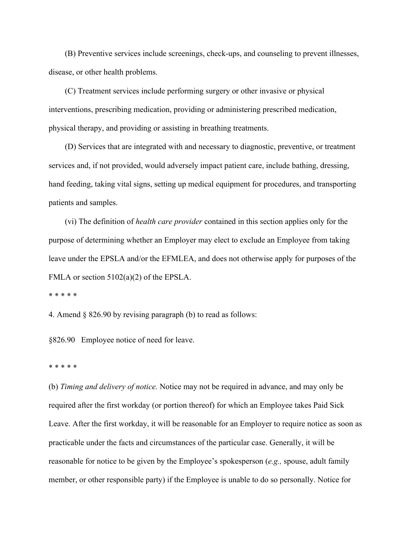(B) Preventive services include screenings, check-ups, and counseling to prevent illnesses, disease, or other health problems.

(C) Treatment services include performing surgery or other invasive or physical interventions, prescribing medication, providing or administering prescribed medication, physical therapy, and providing or assisting in breathing treatments.

(D) Services that are integrated with and necessary to diagnostic, preventive, or treatment services and, if not provided, would adversely impact patient care, include bathing, dressing, hand feeding, taking vital signs, setting up medical equipment for procedures, and transporting patients and samples.

(vi) The definition of *health care provider* contained in this section applies only for the purpose of determining whether an Employer may elect to exclude an Employee from taking leave under the EPSLA and/or the EFMLEA, and does not otherwise apply for purposes of the FMLA or section 5102(a)(2) of the EPSLA.

\* \* \* \* \*

4. Amend § 826.90 by revising paragraph (b) to read as follows:

§826.90 Employee notice of need for leave.

\* \* \* \* \*

(b) *Timing and delivery of notice.* Notice may not be required in advance, and may only be required after the first workday (or portion thereof) for which an Employee takes Paid Sick Leave. After the first workday, it will be reasonable for an Employer to require notice as soon as practicable under the facts and circumstances of the particular case. Generally, it will be reasonable for notice to be given by the Employee's spokesperson (*e.g.,* spouse, adult family member, or other responsible party) if the Employee is unable to do so personally. Notice for